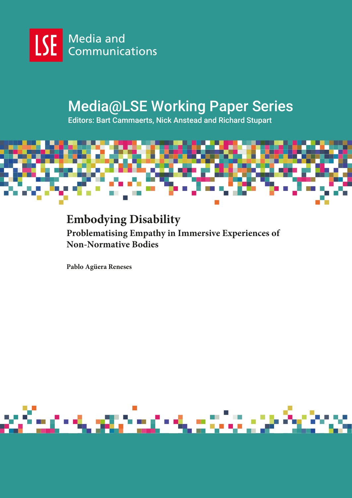

# Media@LSE Working Paper Series

Editors: Bart Cammaerts, Nick Anstead and Richard Stupart



# **Embodying Disability Problematising Empathy in Immersive Experiences of Non-Normative Bodies**

**Pablo Agüera Reneses**

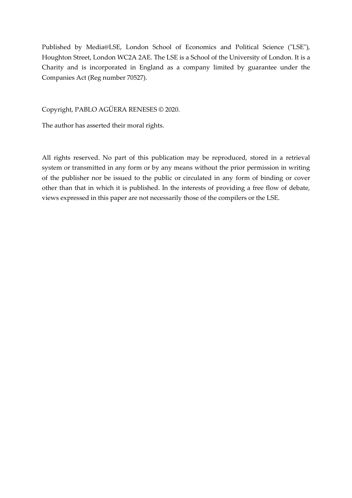Published by Media@LSE, London School of Economics and Political Science ("LSE"), Houghton Street, London WC2A 2AE. The LSE is a School of the University of London. It is a Charity and is incorporated in England as a company limited by guarantee under the Companies Act (Reg number 70527).

Copyright, PABLO AGÜERA RENESES © 2020.

The author has asserted their moral rights.

All rights reserved. No part of this publication may be reproduced, stored in a retrieval system or transmitted in any form or by any means without the prior permission in writing of the publisher nor be issued to the public or circulated in any form of binding or cover other than that in which it is published. In the interests of providing a free flow of debate, views expressed in this paper are not necessarily those of the compilers or the LSE.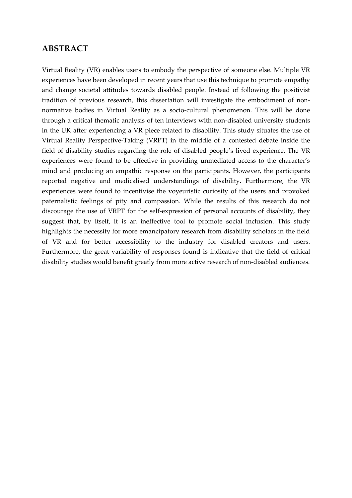### **ABSTRACT**

Virtual Reality (VR) enables users to embody the perspective of someone else. Multiple VR experiences have been developed in recent years that use this technique to promote empathy and change societal attitudes towards disabled people. Instead of following the positivist tradition of previous research, this dissertation will investigate the embodiment of nonnormative bodies in Virtual Reality as a socio-cultural phenomenon. This will be done through a critical thematic analysis of ten interviews with non-disabled university students in the UK after experiencing a VR piece related to disability. This study situates the use of Virtual Reality Perspective-Taking (VRPT) in the middle of a contested debate inside the field of disability studies regarding the role of disabled people's lived experience. The VR experiences were found to be effective in providing unmediated access to the character's mind and producing an empathic response on the participants. However, the participants reported negative and medicalised understandings of disability. Furthermore, the VR experiences were found to incentivise the voyeuristic curiosity of the users and provoked paternalistic feelings of pity and compassion. While the results of this research do not discourage the use of VRPT for the self-expression of personal accounts of disability, they suggest that, by itself, it is an ineffective tool to promote social inclusion. This study highlights the necessity for more emancipatory research from disability scholars in the field of VR and for better accessibility to the industry for disabled creators and users. Furthermore, the great variability of responses found is indicative that the field of critical disability studies would benefit greatly from more active research of non-disabled audiences.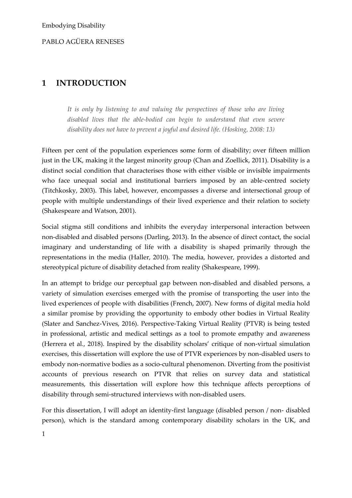### **1 INTRODUCTION**

*It is only by listening to and valuing the perspectives of those who are living disabled lives that the able-bodied can begin to understand that even severe disability does not have to prevent a joyful and desired life. (Hosking, 2008: 13)*

Fifteen per cent of the population experiences some form of disability; over fifteen million just in the UK, making it the largest minority group (Chan and Zoellick, 2011). Disability is a distinct social condition that characterises those with either visible or invisible impairments who face unequal social and institutional barriers imposed by an able-centred society (Titchkosky, 2003). This label, however, encompasses a diverse and intersectional group of people with multiple understandings of their lived experience and their relation to society (Shakespeare and Watson, 2001).

Social stigma still conditions and inhibits the everyday interpersonal interaction between non-disabled and disabled persons (Darling, 2013). In the absence of direct contact, the social imaginary and understanding of life with a disability is shaped primarily through the representations in the media (Haller, 2010). The media, however, provides a distorted and stereotypical picture of disability detached from reality (Shakespeare, 1999).

In an attempt to bridge our perceptual gap between non-disabled and disabled persons, a variety of simulation exercises emerged with the promise of transporting the user into the lived experiences of people with disabilities (French, 2007). New forms of digital media hold a similar promise by providing the opportunity to embody other bodies in Virtual Reality (Slater and Sanchez-Vives, 2016). Perspective-Taking Virtual Reality (PTVR) is being tested in professional, artistic and medical settings as a tool to promote empathy and awareness (Herrera et al., 2018). Inspired by the disability scholars' critique of non-virtual simulation exercises, this dissertation will explore the use of PTVR experiences by non-disabled users to embody non-normative bodies as a socio-cultural phenomenon. Diverting from the positivist accounts of previous research on PTVR that relies on survey data and statistical measurements, this dissertation will explore how this technique affects perceptions of disability through semi-structured interviews with non-disabled users.

For this dissertation, I will adopt an identity-first language (disabled person / non- disabled person), which is the standard among contemporary disability scholars in the UK, and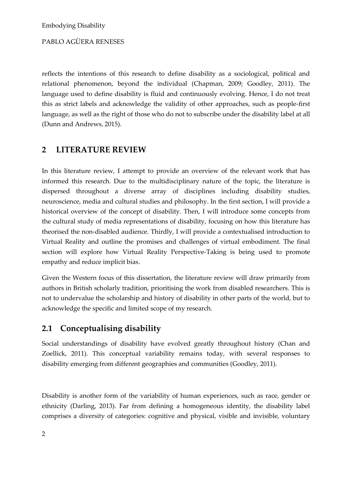reflects the intentions of this research to define disability as a sociological, political and relational phenomenon, beyond the individual (Chapman, 2009; Goodley, 2011). The language used to define disability is fluid and continuously evolving. Hence, I do not treat this as strict labels and acknowledge the validity of other approaches, such as people-first language, as well as the right of those who do not to subscribe under the disability label at all (Dunn and Andrews, 2015).

### **2 LITERATURE REVIEW**

In this literature review, I attempt to provide an overview of the relevant work that has informed this research. Due to the multidisciplinary nature of the topic, the literature is dispersed throughout a diverse array of disciplines including disability studies, neuroscience, media and cultural studies and philosophy. In the first section, I will provide a historical overview of the concept of disability. Then, I will introduce some concepts from the cultural study of media representations of disability, focusing on how this literature has theorised the non-disabled audience. Thirdly, I will provide a contextualised introduction to Virtual Reality and outline the promises and challenges of virtual embodiment. The final section will explore how Virtual Reality Perspective-Taking is being used to promote empathy and reduce implicit bias.

Given the Western focus of this dissertation, the literature review will draw primarily from authors in British scholarly tradition, prioritising the work from disabled researchers. This is not to undervalue the scholarship and history of disability in other parts of the world, but to acknowledge the specific and limited scope of my research.

### **2.1 Conceptualising disability**

Social understandings of disability have evolved greatly throughout history (Chan and Zoellick, 2011). This conceptual variability remains today, with several responses to disability emerging from different geographies and communities (Goodley, 2011).

Disability is another form of the variability of human experiences, such as race, gender or ethnicity (Darling, 2013). Far from defining a homogeneous identity, the disability label comprises a diversity of categories: cognitive and physical, visible and invisible, voluntary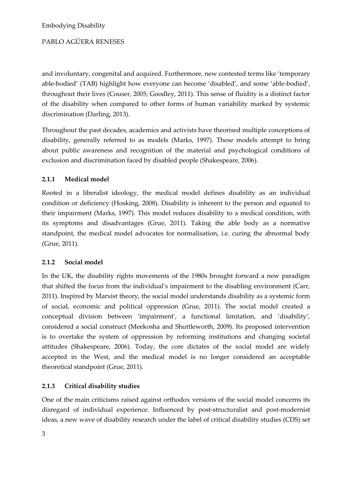and involuntary, congenital and acquired. Furthermore, new contested terms like 'temporary able-bodied' (TAB) highlight how everyone can become 'disabled', and some 'able-bodied', throughout their lives (Couser, 2005; Goodley, 2011). This sense of fluidity is a distinct factor of the disability when compared to other forms of human variability marked by systemic discrimination (Darling, 2013).

Throughout the past decades, academics and activists have theorised multiple conceptions of disability, generally referred to as models (Marks, 1997). These models attempt to bring about public awareness and recognition of the material and psychological conditions of exclusion and discrimination faced by disabled people (Shakespeare, 2006).

### **2.1.1 Medical model**

Rooted in a liberalist ideology, the medical model defines disability as an individual condition or deficiency (Hosking, 2008). Disability is inherent to the person and equated to their impairment (Marks, 1997). This model reduces disability to a medical condition, with its symptoms and disadvantages (Grue, 2011). Taking the able body as a normative standpoint, the medical model advocates for normalisation, i.e. curing the abnormal body (Grue, 2011).

### **2.1.2 Social model**

In the UK, the disability rights movements of the 1980s brought forward a new paradigm that shifted the focus from the individual's impairment to the disabling environment (Carr, 2011). Inspired by Marxist theory, the social model understands disability as a systemic form of social, economic and political oppression (Grue, 2011). The social model created a conceptual division between 'impairment', a functional limitation, and 'disability', considered a social construct (Meekosha and Shuttleworth, 2009). Its proposed intervention is to overtake the system of oppression by reforming institutions and changing societal attitudes (Shakespeare, 2006). Today, the core dictates of the social model are widely accepted in the West, and the medical model is no longer considered an acceptable theoretical standpoint (Grue, 2011).

### **2.1.3 Critical disability studies**

One of the main criticisms raised against orthodox versions of the social model concerns its disregard of individual experience. Influenced by post-structuralist and post-modernist ideas, a new wave of disability research under the label of critical disability studies (CDS) set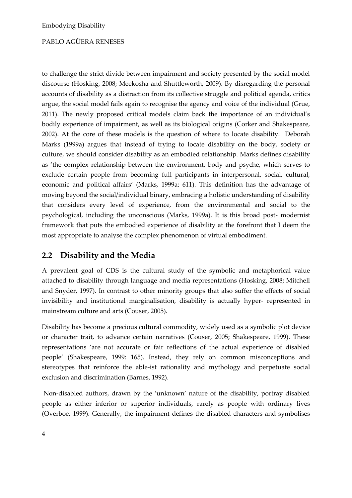to challenge the strict divide between impairment and society presented by the social model discourse (Hosking, 2008; Meekosha and Shuttleworth, 2009). By disregarding the personal accounts of disability as a distraction from its collective struggle and political agenda, critics argue, the social model fails again to recognise the agency and voice of the individual (Grue, 2011). The newly proposed critical models claim back the importance of an individual's bodily experience of impairment, as well as its biological origins (Corker and Shakespeare, 2002). At the core of these models is the question of where to locate disability. Deborah Marks (1999a) argues that instead of trying to locate disability on the body, society or culture, we should consider disability as an embodied relationship. Marks defines disability as 'the complex relationship between the environment, body and psyche, which serves to exclude certain people from becoming full participants in interpersonal, social, cultural, economic and political affairs' (Marks, 1999a: 611). This definition has the advantage of moving beyond the social/individual binary, embracing a holistic understanding of disability that considers every level of experience, from the environmental and social to the psychological, including the unconscious (Marks, 1999a). It is this broad post- modernist framework that puts the embodied experience of disability at the forefront that I deem the most appropriate to analyse the complex phenomenon of virtual embodiment.

### **2.2 Disability and the Media**

A prevalent goal of CDS is the cultural study of the symbolic and metaphorical value attached to disability through language and media representations (Hosking, 2008; Mitchell and Snyder, 1997). In contrast to other minority groups that also suffer the effects of social invisibility and institutional marginalisation, disability is actually hyper- represented in mainstream culture and arts (Couser, 2005).

Disability has become a precious cultural commodity, widely used as a symbolic plot device or character trait, to advance certain narratives (Couser, 2005; Shakespeare, 1999). These representations 'are not accurate or fair reflections of the actual experience of disabled people' (Shakespeare, 1999: 165). Instead, they rely on common misconceptions and stereotypes that reinforce the able-ist rationality and mythology and perpetuate social exclusion and discrimination (Barnes, 1992).

Non-disabled authors, drawn by the 'unknown' nature of the disability, portray disabled people as either inferior or superior individuals, rarely as people with ordinary lives (Overboe, 1999). Generally, the impairment defines the disabled characters and symbolises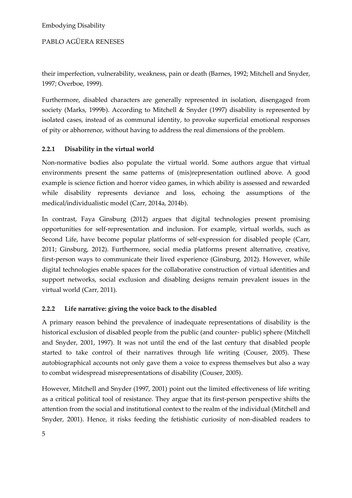PABLO AGÜERA RENESES

their imperfection, vulnerability, weakness, pain or death (Barnes, 1992; Mitchell and Snyder, 1997; Overboe, 1999).

Furthermore, disabled characters are generally represented in isolation, disengaged from society (Marks, 1999b). According to Mitchell & Snyder (1997) disability is represented by isolated cases, instead of as communal identity, to provoke superficial emotional responses of pity or abhorrence, without having to address the real dimensions of the problem.

### **2.2.1 Disability in the virtual world**

Non-normative bodies also populate the virtual world. Some authors argue that virtual environments present the same patterns of (mis)representation outlined above. A good example is science fiction and horror video games, in which ability is assessed and rewarded while disability represents deviance and loss, echoing the assumptions of the medical/individualistic model (Carr, 2014a, 2014b).

In contrast, Faya Ginsburg (2012) argues that digital technologies present promising opportunities for self-representation and inclusion. For example, virtual worlds, such as Second Life, have become popular platforms of self-expression for disabled people (Carr, 2011; Ginsburg, 2012). Furthermore, social media platforms present alternative, creative, first-person ways to communicate their lived experience (Ginsburg, 2012). However, while digital technologies enable spaces for the collaborative construction of virtual identities and support networks, social exclusion and disabling designs remain prevalent issues in the virtual world (Carr, 2011).

### **2.2.2 Life narrative: giving the voice back to the disabled**

A primary reason behind the prevalence of inadequate representations of disability is the historical exclusion of disabled people from the public (and counter- public) sphere (Mitchell and Snyder, 2001, 1997). It was not until the end of the last century that disabled people started to take control of their narratives through life writing (Couser, 2005). These autobiographical accounts not only gave them a voice to express themselves but also a way to combat widespread misrepresentations of disability (Couser, 2005).

However, Mitchell and Snyder (1997, 2001) point out the limited effectiveness of life writing as a critical political tool of resistance. They argue that its first-person perspective shifts the attention from the social and institutional context to the realm of the individual (Mitchell and Snyder, 2001). Hence, it risks feeding the fetishistic curiosity of non-disabled readers to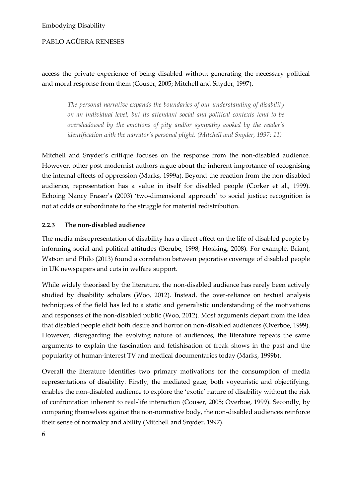### access the private experience of being disabled without generating the necessary political and moral response from them (Couser, 2005; Mitchell and Snyder, 1997).

*The personal narrative expands the boundaries of our understanding of disability on an individual level, but its attendant social and political contexts tend to be overshadowed by the emotions of pity and/or sympathy evoked by the reader's identification with the narrator's personal plight. (Mitchell and Snyder, 1997: 11)*

Mitchell and Snyder's critique focuses on the response from the non-disabled audience. However, other post-modernist authors argue about the inherent importance of recognising the internal effects of oppression (Marks, 1999a). Beyond the reaction from the non-disabled audience, representation has a value in itself for disabled people (Corker et al., 1999). Echoing Nancy Fraser's (2003) 'two-dimensional approach' to social justice; recognition is not at odds or subordinate to the struggle for material redistribution.

### **2.2.3 The non-disabled audience**

The media misrepresentation of disability has a direct effect on the life of disabled people by informing social and political attitudes (Berube, 1998; Hosking, 2008). For example, Briant, Watson and Philo (2013) found a correlation between pejorative coverage of disabled people in UK newspapers and cuts in welfare support.

While widely theorised by the literature, the non-disabled audience has rarely been actively studied by disability scholars (Woo, 2012). Instead, the over-reliance on textual analysis techniques of the field has led to a static and generalistic understanding of the motivations and responses of the non-disabled public (Woo, 2012). Most arguments depart from the idea that disabled people elicit both desire and horror on non-disabled audiences (Overboe, 1999). However, disregarding the evolving nature of audiences, the literature repeats the same arguments to explain the fascination and fetishisation of freak shows in the past and the popularity of human-interest TV and medical documentaries today (Marks, 1999b).

Overall the literature identifies two primary motivations for the consumption of media representations of disability. Firstly, the mediated gaze, both voyeuristic and objectifying, enables the non-disabled audience to explore the 'exotic' nature of disability without the risk of confrontation inherent to real-life interaction (Couser, 2005; Overboe, 1999). Secondly, by comparing themselves against the non-normative body, the non-disabled audiences reinforce their sense of normalcy and ability (Mitchell and Snyder, 1997).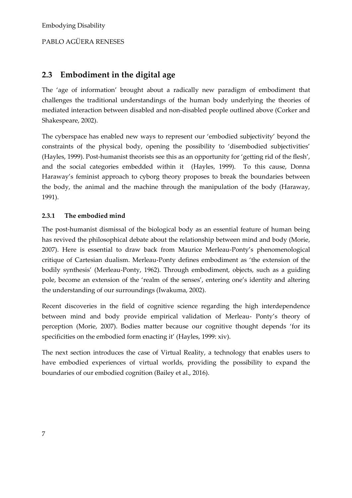### **2.3 Embodiment in the digital age**

The 'age of information' brought about a radically new paradigm of embodiment that challenges the traditional understandings of the human body underlying the theories of mediated interaction between disabled and non-disabled people outlined above (Corker and Shakespeare, 2002).

The cyberspace has enabled new ways to represent our 'embodied subjectivity' beyond the constraints of the physical body, opening the possibility to 'disembodied subjectivities' (Hayles, 1999). Post-humanist theorists see this as an opportunity for 'getting rid of the flesh', and the social categories embedded within it (Hayles, 1999). To this cause, Donna Haraway's feminist approach to cyborg theory proposes to break the boundaries between the body, the animal and the machine through the manipulation of the body (Haraway, 1991).

### **2.3.1 The embodied mind**

The post-humanist dismissal of the biological body as an essential feature of human being has revived the philosophical debate about the relationship between mind and body (Morie, 2007). Here is essential to draw back from Maurice Merleau-Ponty's phenomenological critique of Cartesian dualism. Merleau-Ponty defines embodiment as 'the extension of the bodily synthesis' (Merleau-Ponty, 1962). Through embodiment, objects, such as a guiding pole, become an extension of the 'realm of the senses', entering one's identity and altering the understanding of our surroundings (Iwakuma, 2002).

Recent discoveries in the field of cognitive science regarding the high interdependence between mind and body provide empirical validation of Merleau- Ponty's theory of perception (Morie, 2007). Bodies matter because our cognitive thought depends 'for its specificities on the embodied form enacting it' (Hayles, 1999: xiv).

The next section introduces the case of Virtual Reality, a technology that enables users to have embodied experiences of virtual worlds, providing the possibility to expand the boundaries of our embodied cognition (Bailey et al., 2016).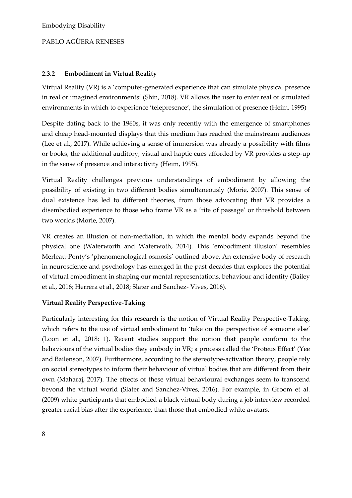### **2.3.2 Embodiment in Virtual Reality**

Virtual Reality (VR) is a 'computer-generated experience that can simulate physical presence in real or imagined environments' (Shin, 2018). VR allows the user to enter real or simulated environments in which to experience 'telepresence', the simulation of presence (Heim, 1995)

Despite dating back to the 1960s, it was only recently with the emergence of smartphones and cheap head-mounted displays that this medium has reached the mainstream audiences (Lee et al., 2017). While achieving a sense of immersion was already a possibility with films or books, the additional auditory, visual and haptic cues afforded by VR provides a step-up in the sense of presence and interactivity (Heim, 1995).

Virtual Reality challenges previous understandings of embodiment by allowing the possibility of existing in two different bodies simultaneously (Morie, 2007). This sense of dual existence has led to different theories, from those advocating that VR provides a disembodied experience to those who frame VR as a 'rite of passage' or threshold between two worlds (Morie, 2007).

VR creates an illusion of non-mediation, in which the mental body expands beyond the physical one (Waterworth and Waterwoth, 2014). This 'embodiment illusion' resembles Merleau-Ponty's 'phenomenological osmosis' outlined above. An extensive body of research in neuroscience and psychology has emerged in the past decades that explores the potential of virtual embodiment in shaping our mental representations, behaviour and identity (Bailey et al., 2016; Herrera et al., 2018; Slater and Sanchez- Vives, 2016).

### **Virtual Reality Perspective-Taking**

Particularly interesting for this research is the notion of Virtual Reality Perspective-Taking, which refers to the use of virtual embodiment to 'take on the perspective of someone else' (Loon et al., 2018: 1). Recent studies support the notion that people conform to the behaviours of the virtual bodies they embody in VR; a process called the 'Proteus Effect' (Yee and Bailenson, 2007). Furthermore, according to the stereotype-activation theory, people rely on social stereotypes to inform their behaviour of virtual bodies that are different from their own (Maharaj, 2017). The effects of these virtual behavioural exchanges seem to transcend beyond the virtual world (Slater and Sanchez-Vives, 2016). For example, in Groom et al. (2009) white participants that embodied a black virtual body during a job interview recorded greater racial bias after the experience, than those that embodied white avatars.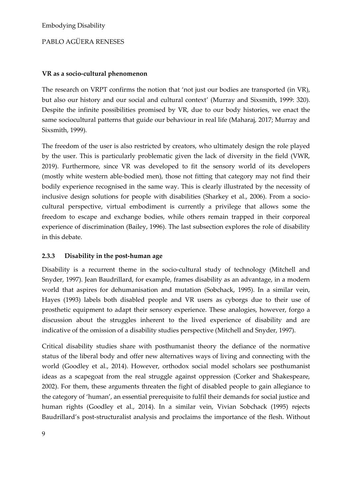#### **VR as a socio-cultural phenomenon**

The research on VRPT confirms the notion that 'not just our bodies are transported (in VR), but also our history and our social and cultural context' (Murray and Sixsmith, 1999: 320). Despite the infinite possibilities promised by VR, due to our body histories, we enact the same sociocultural patterns that guide our behaviour in real life (Maharaj, 2017; Murray and Sixsmith, 1999).

The freedom of the user is also restricted by creators, who ultimately design the role played by the user. This is particularly problematic given the lack of diversity in the field (VWR, 2019). Furthermore, since VR was developed to fit the sensory world of its developers (mostly white western able-bodied men), those not fitting that category may not find their bodily experience recognised in the same way. This is clearly illustrated by the necessity of inclusive design solutions for people with disabilities (Sharkey et al., 2006). From a sociocultural perspective, virtual embodiment is currently a privilege that allows some the freedom to escape and exchange bodies, while others remain trapped in their corporeal experience of discrimination (Bailey, 1996). The last subsection explores the role of disability in this debate.

### **2.3.3 Disability in the post-human age**

Disability is a recurrent theme in the socio-cultural study of technology (Mitchell and Snyder, 1997). Jean Baudrillard, for example, frames disability as an advantage, in a modern world that aspires for dehumanisation and mutation (Sobchack, 1995). In a similar vein, Hayes (1993) labels both disabled people and VR users as cyborgs due to their use of prosthetic equipment to adapt their sensory experience. These analogies, however, forgo a discussion about the struggles inherent to the lived experience of disability and are indicative of the omission of a disability studies perspective (Mitchell and Snyder, 1997).

Critical disability studies share with posthumanist theory the defiance of the normative status of the liberal body and offer new alternatives ways of living and connecting with the world (Goodley et al., 2014). However, orthodox social model scholars see posthumanist ideas as a scapegoat from the real struggle against oppression (Corker and Shakespeare, 2002). For them, these arguments threaten the fight of disabled people to gain allegiance to the category of 'human', an essential prerequisite to fulfil their demands for social justice and human rights (Goodley et al., 2014). In a similar vein, Vivian Sobchack (1995) rejects Baudrillard's post-structuralist analysis and proclaims the importance of the flesh. Without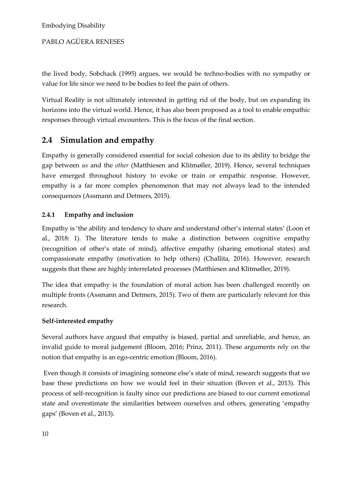the lived body, Sobchack (1995) argues, we would be techno-bodies with no sympathy or value for life since we need to be bodies to feel the pain of others.

Virtual Reality is not ultimately interested in getting rid of the body, but on expanding its horizons into the virtual world. Hence, it has also been proposed as a tool to enable empathic responses through virtual encounters. This is the focus of the final section.

### **2.4 Simulation and empathy**

Empathy is generally considered essential for social cohesion due to its ability to bridge the gap between *us* and the *other* (Matthiesen and Klitmøller, 2019). Hence, several techniques have emerged throughout history to evoke or train or empathic response. However, empathy is a far more complex phenomenon that may not always lead to the intended consequences (Assmann and Detmers, 2015).

### **2.4.1 Empathy and inclusion**

Empathy is 'the ability and tendency to share and understand other's internal states' (Loon et al., 2018: 1). The literature tends to make a distinction between cognitive empathy (recognition of other's state of mind), affective empathy (sharing emotional states) and compassionate empathy (motivation to help others) (Challita, 2016). However, research suggests that these are highly interrelated processes (Matthiesen and Klitmøller, 2019).

The idea that empathy is the foundation of moral action has been challenged recently on multiple fronts (Assmann and Detmers, 2015). Two of them are particularly relevant for this research.

### **Self-interested empathy**

Several authors have argued that empathy is biased, partial and unreliable, and hence, an invalid guide to moral judgement (Bloom, 2016; Prinz, 2011). These arguments rely on the notion that empathy is an ego-centric emotion (Bloom, 2016).

Even though it consists of imagining someone else's state of mind, research suggests that we base these predictions on how we would feel in their situation (Boven et al., 2013). This process of self-recognition is faulty since our predictions are biased to our current emotional state and overestimate the similarities between ourselves and others, generating 'empathy gaps' (Boven et al., 2013).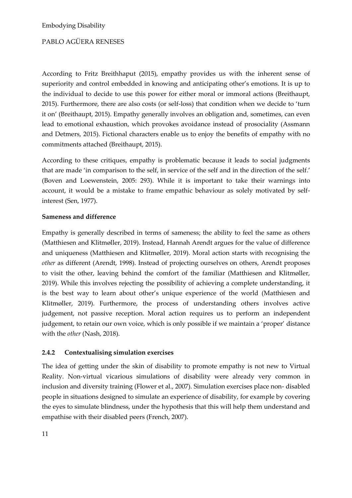According to Fritz Breithhaput (2015), empathy provides us with the inherent sense of superiority and control embedded in knowing and anticipating other's emotions. It is up to the individual to decide to use this power for either moral or immoral actions (Breithaupt, 2015). Furthermore, there are also costs (or self-loss) that condition when we decide to 'turn it on' (Breithaupt, 2015). Empathy generally involves an obligation and, sometimes, can even lead to emotional exhaustion, which provokes avoidance instead of prosociality (Assmann and Detmers, 2015). Fictional characters enable us to enjoy the benefits of empathy with no commitments attached (Breithaupt, 2015).

According to these critiques, empathy is problematic because it leads to social judgments that are made 'in comparison to the self, in service of the self and in the direction of the self.' (Boven and Loewenstein, 2005: 293). While it is important to take their warnings into account, it would be a mistake to frame empathic behaviour as solely motivated by selfinterest (Sen, 1977).

### **Sameness and difference**

Empathy is generally described in terms of sameness; the ability to feel the same as others (Matthiesen and Klitmøller, 2019). Instead, Hannah Arendt argues for the value of difference and uniqueness (Matthiesen and Klitmøller, 2019). Moral action starts with recognising the *other* as different (Arendt, 1998). Instead of projecting ourselves on others, Arendt proposes to visit the other, leaving behind the comfort of the familiar (Matthiesen and Klitmøller, 2019). While this involves rejecting the possibility of achieving a complete understanding, it is the best way to learn about other's unique experience of the world (Matthiesen and Klitmøller, 2019). Furthermore, the process of understanding others involves active judgement, not passive reception. Moral action requires us to perform an independent judgement, to retain our own voice, which is only possible if we maintain a 'proper' distance with the *other* (Nash, 2018).

### **2.4.2 Contextualising simulation exercises**

The idea of getting under the skin of disability to promote empathy is not new to Virtual Reality. Non-virtual vicarious simulations of disability were already very common in inclusion and diversity training (Flower et al., 2007). Simulation exercises place non- disabled people in situations designed to simulate an experience of disability, for example by covering the eyes to simulate blindness, under the hypothesis that this will help them understand and empathise with their disabled peers (French, 2007).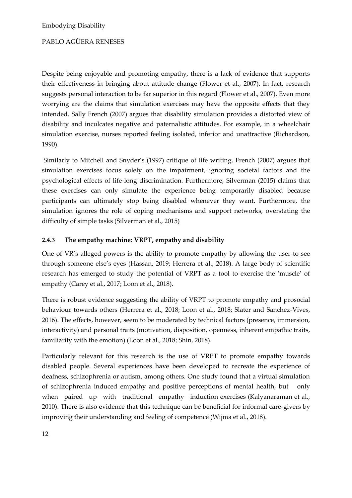Despite being enjoyable and promoting empathy, there is a lack of evidence that supports their effectiveness in bringing about attitude change (Flower et al., 2007). In fact, research suggests personal interaction to be far superior in this regard (Flower et al., 2007). Even more worrying are the claims that simulation exercises may have the opposite effects that they intended. Sally French (2007) argues that disability simulation provides a distorted view of disability and inculcates negative and paternalistic attitudes. For example, in a wheelchair simulation exercise, nurses reported feeling isolated, inferior and unattractive (Richardson, 1990).

Similarly to Mitchell and Snyder's (1997) critique of life writing, French (2007) argues that simulation exercises focus solely on the impairment, ignoring societal factors and the psychological effects of life-long discrimination. Furthermore, Silverman (2015) claims that these exercises can only simulate the experience being temporarily disabled because participants can ultimately stop being disabled whenever they want. Furthermore, the simulation ignores the role of coping mechanisms and support networks, overstating the difficulty of simple tasks (Silverman et al., 2015)

### **2.4.3 The empathy machine: VRPT, empathy and disability**

One of VR's alleged powers is the ability to promote empathy by allowing the user to see through someone else's eyes (Hassan, 2019; Herrera et al., 2018). A large body of scientific research has emerged to study the potential of VRPT as a tool to exercise the 'muscle' of empathy (Carey et al., 2017; Loon et al., 2018).

There is robust evidence suggesting the ability of VRPT to promote empathy and prosocial behaviour towards others (Herrera et al., 2018; Loon et al., 2018; Slater and Sanchez-Vives, 2016). The effects, however, seem to be moderated by technical factors (presence, immersion, interactivity) and personal traits (motivation, disposition, openness, inherent empathic traits, familiarity with the emotion) (Loon et al., 2018; Shin, 2018).

Particularly relevant for this research is the use of VRPT to promote empathy towards disabled people. Several experiences have been developed to recreate the experience of deafness, schizophrenia or autism, among others. One study found that a virtual simulation of schizophrenia induced empathy and positive perceptions of mental health, but only when paired up with traditional empathy induction exercises (Kalyanaraman et al., 2010). There is also evidence that this technique can be beneficial for informal care-givers by improving their understanding and feeling of competence (Wijma et al., 2018).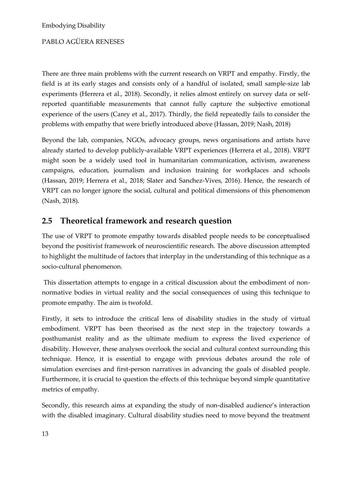There are three main problems with the current research on VRPT and empathy. Firstly, the field is at its early stages and consists only of a handful of isolated, small sample-size lab experiments (Herrera et al., 2018). Secondly, it relies almost entirely on survey data or selfreported quantifiable measurements that cannot fully capture the subjective emotional experience of the users (Carey et al., 2017). Thirdly, the field repeatedly fails to consider the problems with empathy that were briefly introduced above (Hassan, 2019; Nash, 2018)

Beyond the lab, companies, NGOs, advocacy groups, news organisations and artists have already started to develop publicly-available VRPT experiences (Herrera et al., 2018). VRPT might soon be a widely used tool in humanitarian communication, activism, awareness campaigns, education, journalism and inclusion training for workplaces and schools (Hassan, 2019; Herrera et al., 2018; Slater and Sanchez-Vives, 2016). Hence, the research of VRPT can no longer ignore the social, cultural and political dimensions of this phenomenon (Nash, 2018).

### **2.5 Theoretical framework and research question**

The use of VRPT to promote empathy towards disabled people needs to be conceptualised beyond the positivist framework of neuroscientific research. The above discussion attempted to highlight the multitude of factors that interplay in the understanding of this technique as a socio-cultural phenomenon.

This dissertation attempts to engage in a critical discussion about the embodiment of nonnormative bodies in virtual reality and the social consequences of using this technique to promote empathy. The aim is twofold.

Firstly, it sets to introduce the critical lens of disability studies in the study of virtual embodiment. VRPT has been theorised as the next step in the trajectory towards a posthumanist reality and as the ultimate medium to express the lived experience of disability. However, these analyses overlook the social and cultural context surrounding this technique. Hence, it is essential to engage with previous debates around the role of simulation exercises and first-person narratives in advancing the goals of disabled people. Furthermore, it is crucial to question the effects of this technique beyond simple quantitative metrics of empathy.

Secondly, this research aims at expanding the study of non-disabled audience's interaction with the disabled imaginary. Cultural disability studies need to move beyond the treatment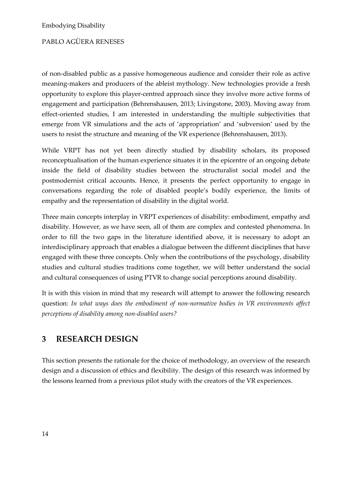of non-disabled public as a passive homogeneous audience and consider their role as active meaning-makers and producers of the ableist mythology. New technologies provide a fresh opportunity to explore this player-centred approach since they involve more active forms of engagement and participation (Behrenshausen, 2013; Livingstone, 2003). Moving away from effect-oriented studies, I am interested in understanding the multiple subjectivities that emerge from VR simulations and the acts of 'appropriation' and 'subversion' used by the users to resist the structure and meaning of the VR experience (Behrenshausen, 2013).

While VRPT has not yet been directly studied by disability scholars, its proposed reconceptualisation of the human experience situates it in the epicentre of an ongoing debate inside the field of disability studies between the structuralist social model and the postmodernist critical accounts. Hence, it presents the perfect opportunity to engage in conversations regarding the role of disabled people's bodily experience, the limits of empathy and the representation of disability in the digital world.

Three main concepts interplay in VRPT experiences of disability: embodiment, empathy and disability. However, as we have seen, all of them are complex and contested phenomena. In order to fill the two gaps in the literature identified above, it is necessary to adopt an interdisciplinary approach that enables a dialogue between the different disciplines that have engaged with these three concepts. Only when the contributions of the psychology, disability studies and cultural studies traditions come together, we will better understand the social and cultural consequences of using PTVR to change social perceptions around disability.

It is with this vision in mind that my research will attempt to answer the following research question: *In what ways does the embodiment of non-normative bodies in VR environments affect perceptions of disability among non-disabled users?*

### **3 RESEARCH DESIGN**

This section presents the rationale for the choice of methodology, an overview of the research design and a discussion of ethics and flexibility. The design of this research was informed by the lessons learned from a previous pilot study with the creators of the VR experiences.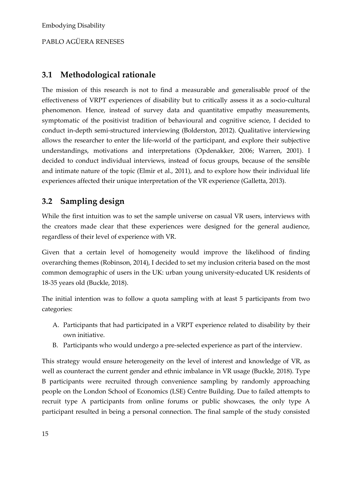### **3.1 Methodological rationale**

The mission of this research is not to find a measurable and generalisable proof of the effectiveness of VRPT experiences of disability but to critically assess it as a socio-cultural phenomenon. Hence, instead of survey data and quantitative empathy measurements, symptomatic of the positivist tradition of behavioural and cognitive science, I decided to conduct in-depth semi-structured interviewing (Bolderston, 2012). Qualitative interviewing allows the researcher to enter the life-world of the participant, and explore their subjective understandings, motivations and interpretations (Opdenakker, 2006; Warren, 2001). I decided to conduct individual interviews, instead of focus groups, because of the sensible and intimate nature of the topic (Elmir et al., 2011), and to explore how their individual life experiences affected their unique interpretation of the VR experience (Galletta, 2013).

### **3.2 Sampling design**

While the first intuition was to set the sample universe on casual VR users, interviews with the creators made clear that these experiences were designed for the general audience, regardless of their level of experience with VR.

Given that a certain level of homogeneity would improve the likelihood of finding overarching themes (Robinson, 2014), I decided to set my inclusion criteria based on the most common demographic of users in the UK: urban young university-educated UK residents of 18-35 years old (Buckle, 2018).

The initial intention was to follow a quota sampling with at least 5 participants from two categories:

- A. Participants that had participated in a VRPT experience related to disability by their own initiative.
- B. Participants who would undergo a pre-selected experience as part of the interview.

This strategy would ensure heterogeneity on the level of interest and knowledge of VR, as well as counteract the current gender and ethnic imbalance in VR usage (Buckle, 2018). Type B participants were recruited through convenience sampling by randomly approaching people on the London School of Economics (LSE) Centre Building. Due to failed attempts to recruit type A participants from online forums or public showcases, the only type A participant resulted in being a personal connection. The final sample of the study consisted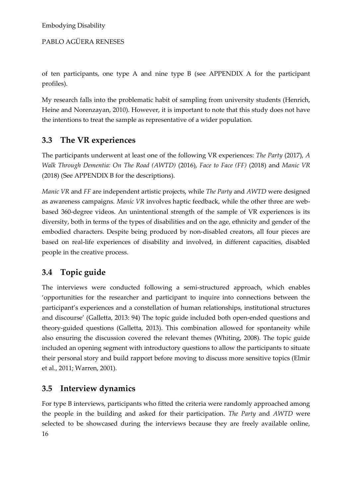PABLO AGÜERA RENESES

of ten participants, one type A and nine type B (see APPENDIX A for the participant profiles).

My research falls into the problematic habit of sampling from university students (Henrich, Heine and Norenzayan, 2010). However, it is important to note that this study does not have the intentions to treat the sample as representative of a wider population.

### **3.3 The VR experiences**

The participants underwent at least one of the following VR experiences: *The Party* (2017), *A Walk Through Dementia: On The Road (AWTD)* (2016), *Face to Face (FF)* (2018) and *Manic VR* (2018) (See APPENDIX B for the descriptions).

*Manic VR* and *FF* are independent artistic projects, while *The Party* and *AWTD* were designed as awareness campaigns. *Manic VR* involves haptic feedback, while the other three are webbased 360-degree videos. An unintentional strength of the sample of VR experiences is its diversity, both in terms of the types of disabilities and on the age, ethnicity and gender of the embodied characters. Despite being produced by non-disabled creators, all four pieces are based on real-life experiences of disability and involved, in different capacities, disabled people in the creative process.

### **3.4 Topic guide**

The interviews were conducted following a semi-structured approach, which enables 'opportunities for the researcher and participant to inquire into connections between the participant's experiences and a constellation of human relationships, institutional structures and discourse' (Galletta, 2013: 94) The topic guide included both open-ended questions and theory-guided questions (Galletta, 2013). This combination allowed for spontaneity while also ensuring the discussion covered the relevant themes (Whiting, 2008). The topic guide included an opening segment with introductory questions to allow the participants to situate their personal story and build rapport before moving to discuss more sensitive topics (Elmir et al., 2011; Warren, 2001).

### **3.5 Interview dynamics**

16 For type B interviews, participants who fitted the criteria were randomly approached among the people in the building and asked for their participation. *The Party* and *AWTD* were selected to be showcased during the interviews because they are freely available online,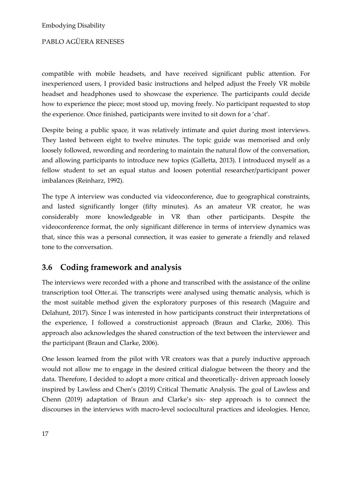compatible with mobile headsets, and have received significant public attention. For inexperienced users, I provided basic instructions and helped adjust the Freely VR mobile headset and headphones used to showcase the experience. The participants could decide how to experience the piece; most stood up, moving freely. No participant requested to stop the experience. Once finished, participants were invited to sit down for a 'chat'.

Despite being a public space, it was relatively intimate and quiet during most interviews. They lasted between eight to twelve minutes. The topic guide was memorised and only loosely followed, rewording and reordering to maintain the natural flow of the conversation, and allowing participants to introduce new topics (Galletta, 2013). I introduced myself as a fellow student to set an equal status and loosen potential researcher/participant power imbalances (Reinharz, 1992).

The type A interview was conducted via videoconference, due to geographical constraints, and lasted significantly longer (fifty minutes). As an amateur VR creator, he was considerably more knowledgeable in VR than other participants. Despite the videoconference format, the only significant difference in terms of interview dynamics was that, since this was a personal connection, it was easier to generate a friendly and relaxed tone to the conversation.

### **3.6 Coding framework and analysis**

The interviews were recorded with a phone and transcribed with the assistance of the online transcription tool Otter.ai. The transcripts were analysed using thematic analysis, which is the most suitable method given the exploratory purposes of this research (Maguire and Delahunt, 2017). Since I was interested in how participants construct their interpretations of the experience, I followed a constructionist approach (Braun and Clarke, 2006). This approach also acknowledges the shared construction of the text between the interviewer and the participant (Braun and Clarke, 2006).

One lesson learned from the pilot with VR creators was that a purely inductive approach would not allow me to engage in the desired critical dialogue between the theory and the data. Therefore, I decided to adopt a more critical and theoretically- driven approach loosely inspired by Lawless and Chen's (2019) Critical Thematic Analysis. The goal of Lawless and Chenn (2019) adaptation of Braun and Clarke's six- step approach is to connect the discourses in the interviews with macro-level sociocultural practices and ideologies. Hence,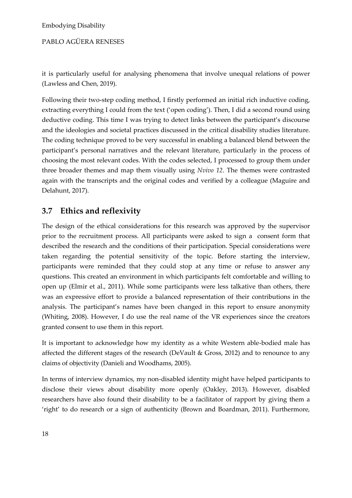PABLO AGÜERA RENESES

it is particularly useful for analysing phenomena that involve unequal relations of power (Lawless and Chen, 2019).

Following their two-step coding method, I firstly performed an initial rich inductive coding, extracting everything I could from the text ('open coding'). Then, I did a second round using deductive coding. This time I was trying to detect links between the participant's discourse and the ideologies and societal practices discussed in the critical disability studies literature. The coding technique proved to be very successful in enabling a balanced blend between the participant's personal narratives and the relevant literature, particularly in the process of choosing the most relevant codes. With the codes selected, I processed to group them under three broader themes and map them visually using *Nvivo 12*. The themes were contrasted again with the transcripts and the original codes and verified by a colleague (Maguire and Delahunt, 2017).

### **3.7 Ethics and reflexivity**

The design of the ethical considerations for this research was approved by the supervisor prior to the recruitment process. All participants were asked to sign a consent form that described the research and the conditions of their participation. Special considerations were taken regarding the potential sensitivity of the topic. Before starting the interview, participants were reminded that they could stop at any time or refuse to answer any questions. This created an environment in which participants felt comfortable and willing to open up (Elmir et al., 2011). While some participants were less talkative than others, there was an expressive effort to provide a balanced representation of their contributions in the analysis. The participant's names have been changed in this report to ensure anonymity (Whiting, 2008). However, I do use the real name of the VR experiences since the creators granted consent to use them in this report.

It is important to acknowledge how my identity as a white Western able-bodied male has affected the different stages of the research (DeVault & Gross, 2012) and to renounce to any claims of objectivity (Danieli and Woodhams, 2005).

In terms of interview dynamics, my non-disabled identity might have helped participants to disclose their views about disability more openly (Oakley, 2013). However, disabled researchers have also found their disability to be a facilitator of rapport by giving them a 'right' to do research or a sign of authenticity (Brown and Boardman, 2011). Furthermore,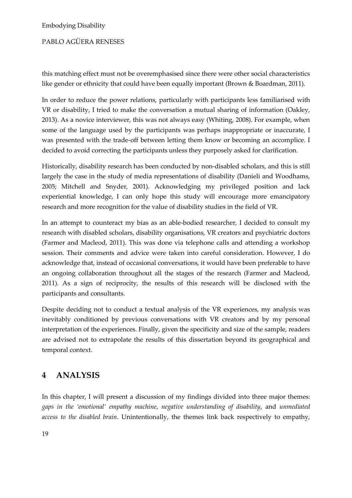### PABLO AGÜERA RENESES

this matching effect must not be overemphasised since there were other social characteristics like gender or ethnicity that could have been equally important (Brown & Boardman, 2011).

In order to reduce the power relations, particularly with participants less familiarised with VR or disability, I tried to make the conversation a mutual sharing of information (Oakley, 2013). As a novice interviewer, this was not always easy (Whiting, 2008). For example, when some of the language used by the participants was perhaps inappropriate or inaccurate, I was presented with the trade-off between letting them know or becoming an accomplice. I decided to avoid correcting the participants unless they purposely asked for clarification.

Historically, disability research has been conducted by non-disabled scholars, and this is still largely the case in the study of media representations of disability (Danieli and Woodhams, 2005; Mitchell and Snyder, 2001). Acknowledging my privileged position and lack experiential knowledge, I can only hope this study will encourage more emancipatory research and more recognition for the value of disability studies in the field of VR.

In an attempt to counteract my bias as an able-bodied researcher, I decided to consult my research with disabled scholars, disability organisations, VR creators and psychiatric doctors (Farmer and Macleod, 2011). This was done via telephone calls and attending a workshop session. Their comments and advice were taken into careful consideration. However, I do acknowledge that, instead of occasional conversations, it would have been preferable to have an ongoing collaboration throughout all the stages of the research (Farmer and Macleod, 2011). As a sign of reciprocity, the results of this research will be disclosed with the participants and consultants.

Despite deciding not to conduct a textual analysis of the VR experiences, my analysis was inevitably conditioned by previous conversations with VR creators and by my personal interpretation of the experiences. Finally, given the specificity and size of the sample, readers are advised not to extrapolate the results of this dissertation beyond its geographical and temporal context.

### **4 ANALYSIS**

In this chapter, I will present a discussion of my findings divided into three major themes: *gaps in the 'emotional' empathy machine*, *negative understanding of disability*, and *unmediated access to the disabled brain*. Unintentionally, the themes link back respectively to empathy,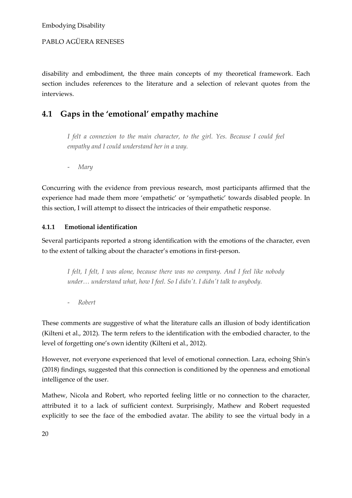### PABLO AGÜERA RENESES

disability and embodiment, the three main concepts of my theoretical framework. Each section includes references to the literature and a selection of relevant quotes from the interviews.

### **4.1 Gaps in the 'emotional' empathy machine**

*I felt a connexion to the main character, to the girl. Yes. Because I could feel empathy and I could understand her in a way.*

- *Mary*

Concurring with the evidence from previous research, most participants affirmed that the experience had made them more 'empathetic' or 'sympathetic' towards disabled people. In this section, I will attempt to dissect the intricacies of their empathetic response.

### **4.1.1 Emotional identification**

Several participants reported a strong identification with the emotions of the character, even to the extent of talking about the character's emotions in first-person.

*I felt, I felt, I was alone, because there was no company. And I feel like nobody under… understand what, how I feel. So I didn't. I didn't talk to anybody.*

- *Robert*

These comments are suggestive of what the literature calls an illusion of body identification (Kilteni et al., 2012). The term refers to the identification with the embodied character, to the level of forgetting one's own identity (Kilteni et al., 2012).

However, not everyone experienced that level of emotional connection. Lara, echoing Shin's (2018) findings, suggested that this connection is conditioned by the openness and emotional intelligence of the user.

Mathew, Nicola and Robert, who reported feeling little or no connection to the character, attributed it to a lack of sufficient context. Surprisingly, Mathew and Robert requested explicitly to see the face of the embodied avatar. The ability to see the virtual body in a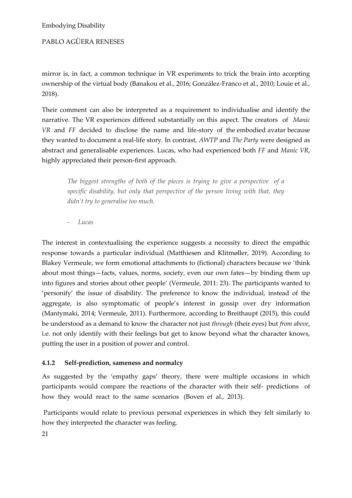PABLO AGÜERA RENESES

mirror is, in fact, a common technique in VR experiments to trick the brain into accepting ownership of the virtual body (Banakou et al., 2016; González-Franco et al., 2010; Louie et al., 2018).

Their comment can also be interpreted as a requirement to individualise and identify the narrative. The VR experiences differed substantially on this aspect. The creators of *Manic VR* and *FF* decided to disclose the name and life-story of the embodied avatar because they wanted to document a real-life story. In contrast, *AWTP* and *The Party* were designed as abstract and generalisable experiences. Lucas, who had experienced both *FF* and *Manic VR*, highly appreciated their person-first approach.

*The biggest strengths of both of the pieces is trying to give a perspective of a specific disability, but only that perspective of the person living with that, they didn't try to generalise too much.*

- *Lucas*

The interest in contextualising the experience suggests a necessity to direct the empathic response towards a particular individual (Matthiesen and Klitmøller, 2019). According to Blakey Vermeule, we form emotional attachments to (fictional) characters because we 'think about most things—facts, values, norms, society, even our own fates—by binding them up into figures and stories about other people' (Vermeule, 2011: 23). The participants wanted to 'personify' the issue of disability. The preference to know the individual, instead of the aggregate, is also symptomatic of people's interest in gossip over dry information (Mantymaki, 2014; Vermeule, 2011). Furthermore, according to Breithaupt (2015), this could be understood as a demand to know the character not just *through* (their eyes) but *from above*, i.e. not only identify with their feelings but get to know beyond what the character knows, putting the user in a position of power and control.

### **4.1.2 Self-prediction, sameness and normalcy**

As suggested by the 'empathy gaps' theory, there were multiple occasions in which participants would compare the reactions of the character with their self- predictions of how they would react to the same scenarios (Boven et al., 2013).

Participants would relate to previous personal experiences in which they felt similarly to how they interpreted the character was feeling.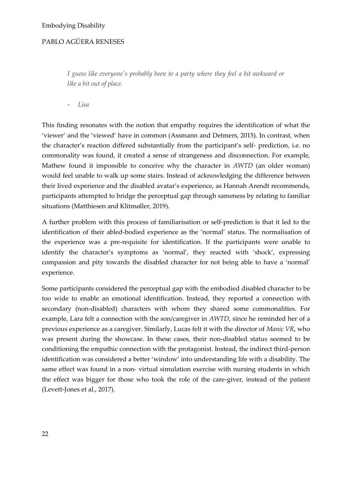*I guess like everyone's probably been to a party where they feel a bit awkward or like a bit out of place.*

- *Lisa*

This finding resonates with the notion that empathy requires the identification of what the 'viewer' and the 'viewed' have in common (Assmann and Detmers, 2015). In contrast, when the character's reaction differed substantially from the participant's self- prediction, i.e. no commonality was found, it created a sense of strangeness and disconnection. For example, Mathew found it impossible to conceive why the character in *AWTD* (an older woman) would feel unable to walk up some stairs. Instead of acknowledging the difference between their lived experience and the disabled avatar's experience, as Hannah Arendt recommends, participants attempted to bridge the perceptual gap through sameness by relating to familiar situations (Matthiesen and Klitmøller, 2019).

A further problem with this process of familiarisation or self-prediction is that it led to the identification of their abled-bodied experience as the 'normal' status. The normalisation of the experience was a pre-requisite for identification. If the participants were unable to identify the character's symptoms as 'normal', they reacted with 'shock', expressing compassion and pity towards the disabled character for not being able to have a 'normal' experience.

Some participants considered the perceptual gap with the embodied disabled character to be too wide to enable an emotional identification. Instead, they reported a connection with secondary (non-disabled) characters with whom they shared some commonalities. For example, Lara felt a connection with the son/caregiver in *AWTD*, since he reminded her of a previous experience as a caregiver. Similarly, Lucas felt it with the director of *Manic VR*, who was present during the showcase. In these cases, their non-disabled status seemed to be conditioning the empathic connection with the protagonist. Instead, the indirect third-person identification was considered a better 'window' into understanding life with a disability. The same effect was found in a non- virtual simulation exercise with nursing students in which the effect was bigger for those who took the role of the care-giver, instead of the patient (Levett-Jones et al., 2017).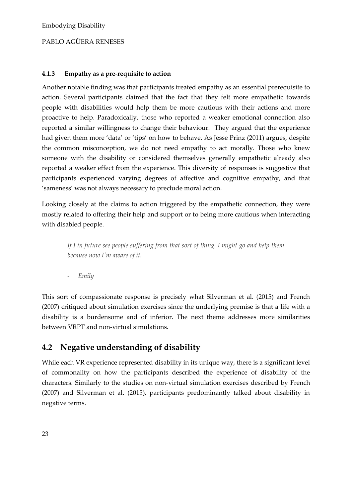### PABLO AGÜERA RENESES

#### **4.1.3 Empathy as a pre-requisite to action**

Another notable finding was that participants treated empathy as an essential prerequisite to action. Several participants claimed that the fact that they felt more empathetic towards people with disabilities would help them be more cautious with their actions and more proactive to help. Paradoxically, those who reported a weaker emotional connection also reported a similar willingness to change their behaviour. They argued that the experience had given them more 'data' or 'tips' on how to behave. As Jesse Prinz (2011) argues, despite the common misconception, we do not need empathy to act morally. Those who knew someone with the disability or considered themselves generally empathetic already also reported a weaker effect from the experience. This diversity of responses is suggestive that participants experienced varying degrees of affective and cognitive empathy, and that 'sameness' was not always necessary to preclude moral action.

Looking closely at the claims to action triggered by the empathetic connection, they were mostly related to offering their help and support or to being more cautious when interacting with disabled people.

*If I in future see people suffering from that sort of thing. I might go and help them because now I'm aware of it.*

- *Emily*

This sort of compassionate response is precisely what Silverman et al. (2015) and French (2007) critiqued about simulation exercises since the underlying premise is that a life with a disability is a burdensome and of inferior. The next theme addresses more similarities between VRPT and non-virtual simulations.

### **4.2 Negative understanding of disability**

While each VR experience represented disability in its unique way, there is a significant level of commonality on how the participants described the experience of disability of the characters. Similarly to the studies on non-virtual simulation exercises described by French (2007) and Silverman et al. (2015), participants predominantly talked about disability in negative terms.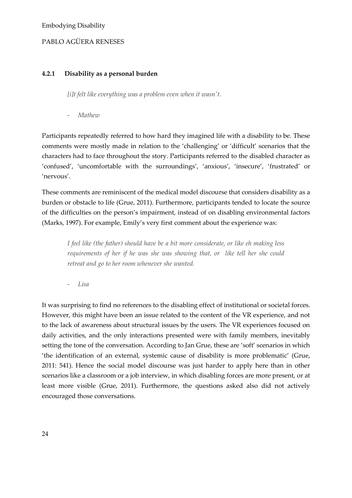### **4.2.1 Disability as a personal burden**

*[i]t felt like everything was a problem even when it wasn't.*

- *Mathew*

Participants repeatedly referred to how hard they imagined life with a disability to be. These comments were mostly made in relation to the 'challenging' or 'difficult' scenarios that the characters had to face throughout the story. Participants referred to the disabled character as 'confused', 'uncomfortable with the surroundings', 'anxious', 'insecure', 'frustrated' or 'nervous'.

These comments are reminiscent of the medical model discourse that considers disability as a burden or obstacle to life (Grue, 2011). Furthermore, participants tended to locate the source of the difficulties on the person's impairment, instead of on disabling environmental factors (Marks, 1997). For example, Emily's very first comment about the experience was:

*I feel like (the father) should have be a bit more considerate, or like eh making less requirements of her if he was she was showing that, or like tell her she could retreat and go to her room whenever she wanted.*

- *Lisa*

It was surprising to find no references to the disabling effect of institutional or societal forces. However, this might have been an issue related to the content of the VR experience, and not to the lack of awareness about structural issues by the users. The VR experiences focused on daily activities, and the only interactions presented were with family members, inevitably setting the tone of the conversation. According to Jan Grue, these are 'soft' scenarios in which 'the identification of an external, systemic cause of disability is more problematic' (Grue, 2011: 541). Hence the social model discourse was just harder to apply here than in other scenarios like a classroom or a job interview, in which disabling forces are more present, or at least more visible (Grue, 2011). Furthermore, the questions asked also did not actively encouraged those conversations.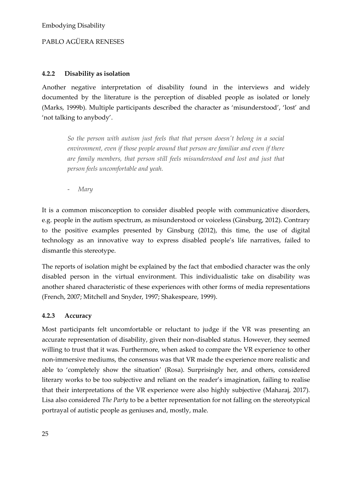### PABLO AGÜERA RENESES

### **4.2.2 Disability as isolation**

Another negative interpretation of disability found in the interviews and widely documented by the literature is the perception of disabled people as isolated or lonely (Marks, 1999b). Multiple participants described the character as 'misunderstood', 'lost' and 'not talking to anybody'.

*So the person with autism just feels that that person doesn't belong in a social environment, even if those people around that person are familiar and even if there are family members, that person still feels misunderstood and lost and just that person feels uncomfortable and yeah.*

- *Mary*

It is a common misconception to consider disabled people with communicative disorders, e.g. people in the autism spectrum, as misunderstood or voiceless (Ginsburg, 2012). Contrary to the positive examples presented by Ginsburg (2012), this time, the use of digital technology as an innovative way to express disabled people's life narratives, failed to dismantle this stereotype.

The reports of isolation might be explained by the fact that embodied character was the only disabled person in the virtual environment. This individualistic take on disability was another shared characteristic of these experiences with other forms of media representations (French, 2007; Mitchell and Snyder, 1997; Shakespeare, 1999).

#### **4.2.3 Accuracy**

Most participants felt uncomfortable or reluctant to judge if the VR was presenting an accurate representation of disability, given their non-disabled status. However, they seemed willing to trust that it was. Furthermore, when asked to compare the VR experience to other non-immersive mediums, the consensus was that VR made the experience more realistic and able to 'completely show the situation' (Rosa). Surprisingly her, and others, considered literary works to be too subjective and reliant on the reader's imagination, failing to realise that their interpretations of the VR experience were also highly subjective (Maharaj, 2017). Lisa also considered *The Party* to be a better representation for not falling on the stereotypical portrayal of autistic people as geniuses and, mostly, male.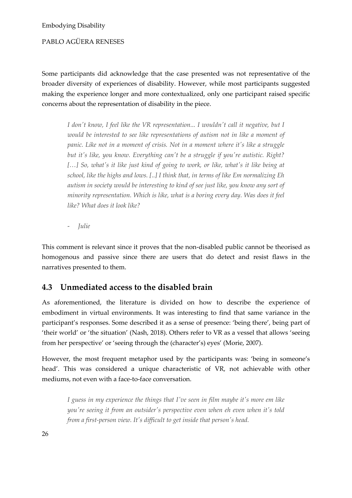PABLO AGÜERA RENESES

Some participants did acknowledge that the case presented was not representative of the broader diversity of experiences of disability. However, while most participants suggested making the experience longer and more contextualized, only one participant raised specific concerns about the representation of disability in the piece.

*I don't know, I feel like the VR representation... I wouldn't call it negative, but I would be interested to see like representations of autism not in like a moment of*  panic. Like not in a moment of crisis. Not in a moment where it's like a struggle *but it's like, you know. Everything can't be a struggle if you're autistic. Right?*  [...] So, what's it like just kind of going to work, or like, what's it like being at *school, like the highs and lows. [..] I think that, in terms of like Em normalizing Eh autism in society would be interesting to kind of see just like, you know any sort of minority representation. Which is like, what is a boring every day. Was does it feel like? What does it look like?*

- *Julie*

This comment is relevant since it proves that the non-disabled public cannot be theorised as homogenous and passive since there are users that do detect and resist flaws in the narratives presented to them.

### **4.3 Unmediated access to the disabled brain**

As aforementioned, the literature is divided on how to describe the experience of embodiment in virtual environments. It was interesting to find that same variance in the participant's responses. Some described it as a sense of presence: 'being there', being part of 'their world' or 'the situation' (Nash, 2018). Others refer to VR as a vessel that allows 'seeing from her perspective' or 'seeing through the (character's) eyes' (Morie, 2007).

However, the most frequent metaphor used by the participants was: 'being in someone's head'. This was considered a unique characteristic of VR, not achievable with other mediums, not even with a face-to-face conversation.

*I guess in my experience the things that I've seen in film maybe it's more em like you're seeing it from an outsider's perspective even when eh even when it's told from a first-person view. It's difficult to get inside that person's head.*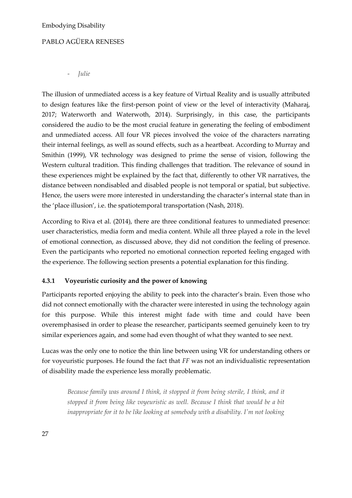- *Julie*

The illusion of unmediated access is a key feature of Virtual Reality and is usually attributed to design features like the first-person point of view or the level of interactivity (Maharaj, 2017; Waterworth and Waterwoth, 2014). Surprisingly, in this case, the participants considered the audio to be the most crucial feature in generating the feeling of embodiment and unmediated access. All four VR pieces involved the voice of the characters narrating their internal feelings, as well as sound effects, such as a heartbeat. According to Murray and Smithin (1999), VR technology was designed to prime the sense of vision, following the Western cultural tradition. This finding challenges that tradition. The relevance of sound in these experiences might be explained by the fact that, differently to other VR narratives, the distance between nondisabled and disabled people is not temporal or spatial, but subjective. Hence, the users were more interested in understanding the character's internal state than in the 'place illusion', i.e. the spatiotemporal transportation (Nash, 2018).

According to Riva et al. (2014), there are three conditional features to unmediated presence: user characteristics, media form and media content. While all three played a role in the level of emotional connection, as discussed above, they did not condition the feeling of presence. Even the participants who reported no emotional connection reported feeling engaged with the experience. The following section presents a potential explanation for this finding.

### **4.3.1 Voyeuristic curiosity and the power of knowing**

Participants reported enjoying the ability to peek into the character's brain. Even those who did not connect emotionally with the character were interested in using the technology again for this purpose. While this interest might fade with time and could have been overemphasised in order to please the researcher, participants seemed genuinely keen to try similar experiences again, and some had even thought of what they wanted to see next.

Lucas was the only one to notice the thin line between using VR for understanding others or for voyeuristic purposes. He found the fact that *FF* was not an individualistic representation of disability made the experience less morally problematic.

*Because family was around I think, it stopped it from being sterile, I think, and it stopped it from being like voyeuristic as well. Because I think that would be a bit inappropriate for it to be like looking at somebody with a disability. I'm not looking*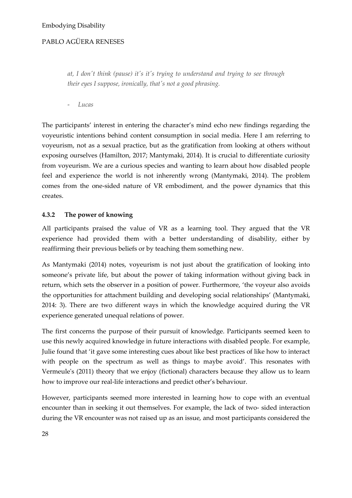*at, I don't think (pause) it's it's trying to understand and trying to see through their eyes I suppose, ironically, that's not a good phrasing.*

- *Lucas*

The participants' interest in entering the character's mind echo new findings regarding the voyeuristic intentions behind content consumption in social media. Here I am referring to voyeurism, not as a sexual practice, but as the gratification from looking at others without exposing ourselves (Hamilton, 2017; Mantymaki, 2014). It is crucial to differentiate curiosity from voyeurism. We are a curious species and wanting to learn about how disabled people feel and experience the world is not inherently wrong (Mantymaki, 2014). The problem comes from the one-sided nature of VR embodiment, and the power dynamics that this creates.

### **4.3.2 The power of knowing**

All participants praised the value of VR as a learning tool. They argued that the VR experience had provided them with a better understanding of disability, either by reaffirming their previous beliefs or by teaching them something new.

As Mantymaki (2014) notes, voyeurism is not just about the gratification of looking into someone's private life, but about the power of taking information without giving back in return, which sets the observer in a position of power. Furthermore, 'the voyeur also avoids the opportunities for attachment building and developing social relationships' (Mantymaki, 2014: 3). There are two different ways in which the knowledge acquired during the VR experience generated unequal relations of power.

The first concerns the purpose of their pursuit of knowledge. Participants seemed keen to use this newly acquired knowledge in future interactions with disabled people. For example, Julie found that 'it gave some interesting cues about like best practices of like how to interact with people on the spectrum as well as things to maybe avoid'. This resonates with Vermeule's (2011) theory that we enjoy (fictional) characters because they allow us to learn how to improve our real-life interactions and predict other's behaviour.

However, participants seemed more interested in learning how to cope with an eventual encounter than in seeking it out themselves. For example, the lack of two- sided interaction during the VR encounter was not raised up as an issue, and most participants considered the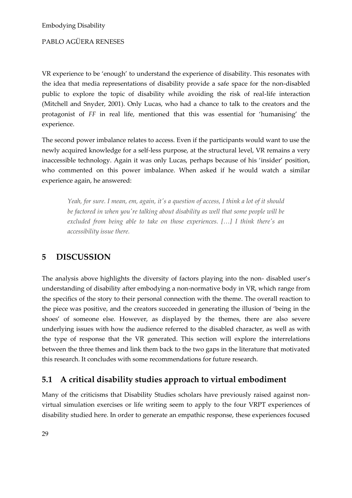VR experience to be 'enough' to understand the experience of disability. This resonates with the idea that media representations of disability provide a safe space for the non-disabled public to explore the topic of disability while avoiding the risk of real-life interaction (Mitchell and Snyder, 2001). Only Lucas, who had a chance to talk to the creators and the protagonist of *FF* in real life, mentioned that this was essential for 'humanising' the experience.

The second power imbalance relates to access. Even if the participants would want to use the newly acquired knowledge for a self-less purpose, at the structural level, VR remains a very inaccessible technology. Again it was only Lucas, perhaps because of his 'insider' position, who commented on this power imbalance. When asked if he would watch a similar experience again, he answered:

*Yeah, for sure. I mean, em, again, it's a question of access, I think a lot of it should be factored in when you're talking about disability as well that some people will be excluded from being able to take on those experiences. […] I think there's an accessibility issue there.*

### **5 DISCUSSION**

The analysis above highlights the diversity of factors playing into the non- disabled user's understanding of disability after embodying a non-normative body in VR, which range from the specifics of the story to their personal connection with the theme. The overall reaction to the piece was positive, and the creators succeeded in generating the illusion of 'being in the shoes' of someone else. However, as displayed by the themes, there are also severe underlying issues with how the audience referred to the disabled character, as well as with the type of response that the VR generated. This section will explore the interrelations between the three themes and link them back to the two gaps in the literature that motivated this research. It concludes with some recommendations for future research.

### **5.1 A critical disability studies approach to virtual embodiment**

Many of the criticisms that Disability Studies scholars have previously raised against nonvirtual simulation exercises or life writing seem to apply to the four VRPT experiences of disability studied here. In order to generate an empathic response, these experiences focused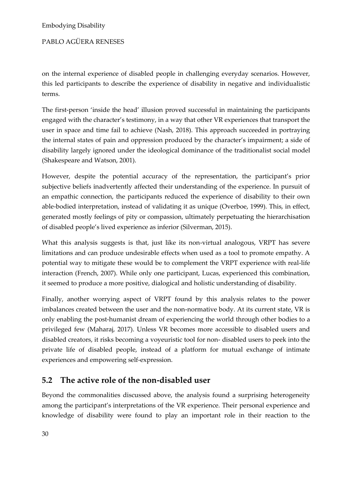### PABLO AGÜERA RENESES

on the internal experience of disabled people in challenging everyday scenarios. However, this led participants to describe the experience of disability in negative and individualistic terms.

The first-person 'inside the head' illusion proved successful in maintaining the participants engaged with the character's testimony, in a way that other VR experiences that transport the user in space and time fail to achieve (Nash, 2018). This approach succeeded in portraying the internal states of pain and oppression produced by the character's impairment; a side of disability largely ignored under the ideological dominance of the traditionalist social model (Shakespeare and Watson, 2001).

However, despite the potential accuracy of the representation, the participant's prior subjective beliefs inadvertently affected their understanding of the experience. In pursuit of an empathic connection, the participants reduced the experience of disability to their own able-bodied interpretation, instead of validating it as unique (Overboe, 1999). This, in effect, generated mostly feelings of pity or compassion, ultimately perpetuating the hierarchisation of disabled people's lived experience as inferior (Silverman, 2015).

What this analysis suggests is that, just like its non-virtual analogous, VRPT has severe limitations and can produce undesirable effects when used as a tool to promote empathy. A potential way to mitigate these would be to complement the VRPT experience with real-life interaction (French, 2007). While only one participant, Lucas, experienced this combination, it seemed to produce a more positive, dialogical and holistic understanding of disability.

Finally, another worrying aspect of VRPT found by this analysis relates to the power imbalances created between the user and the non-normative body. At its current state, VR is only enabling the post-humanist dream of experiencing the world through other bodies to a privileged few (Maharaj, 2017). Unless VR becomes more accessible to disabled users and disabled creators, it risks becoming a voyeuristic tool for non- disabled users to peek into the private life of disabled people, instead of a platform for mutual exchange of intimate experiences and empowering self-expression.

### **5.2 The active role of the non-disabled user**

Beyond the commonalities discussed above, the analysis found a surprising heterogeneity among the participant's interpretations of the VR experience. Their personal experience and knowledge of disability were found to play an important role in their reaction to the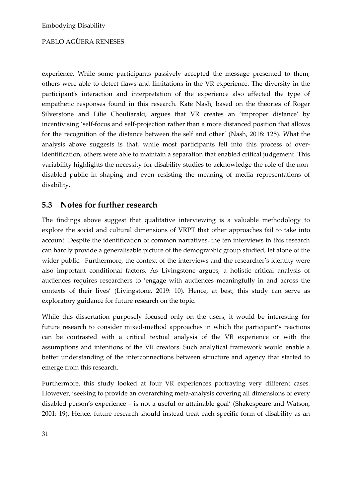experience. While some participants passively accepted the message presented to them, others were able to detect flaws and limitations in the VR experience. The diversity in the participant's interaction and interpretation of the experience also affected the type of empathetic responses found in this research. Kate Nash, based on the theories of Roger Silverstone and Lilie Chouliaraki, argues that VR creates an 'improper distance' by incentivising 'self-focus and self-projection rather than a more distanced position that allows for the recognition of the distance between the self and other' (Nash, 2018: 125). What the analysis above suggests is that, while most participants fell into this process of overidentification, others were able to maintain a separation that enabled critical judgement. This variability highlights the necessity for disability studies to acknowledge the role of the nondisabled public in shaping and even resisting the meaning of media representations of disability.

### **5.3 Notes for further research**

The findings above suggest that qualitative interviewing is a valuable methodology to explore the social and cultural dimensions of VRPT that other approaches fail to take into account. Despite the identification of common narratives, the ten interviews in this research can hardly provide a generalisable picture of the demographic group studied, let alone of the wider public. Furthermore, the context of the interviews and the researcher's identity were also important conditional factors. As Livingstone argues, a holistic critical analysis of audiences requires researchers to 'engage with audiences meaningfully in and across the contexts of their lives' (Livingstone, 2019: 10). Hence, at best, this study can serve as exploratory guidance for future research on the topic.

While this dissertation purposely focused only on the users, it would be interesting for future research to consider mixed-method approaches in which the participant's reactions can be contrasted with a critical textual analysis of the VR experience or with the assumptions and intentions of the VR creators. Such analytical framework would enable a better understanding of the interconnections between structure and agency that started to emerge from this research.

Furthermore, this study looked at four VR experiences portraying very different cases. However, 'seeking to provide an overarching meta-analysis covering all dimensions of every disabled person's experience – is not a useful or attainable goal' (Shakespeare and Watson, 2001: 19). Hence, future research should instead treat each specific form of disability as an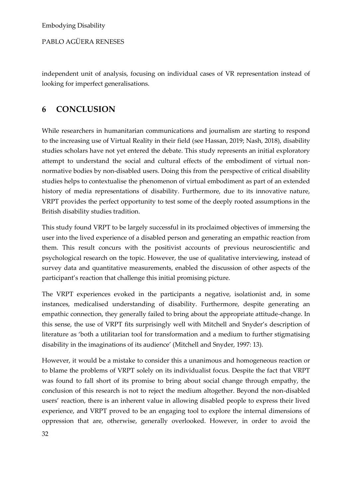PABLO AGÜERA RENESES

independent unit of analysis, focusing on individual cases of VR representation instead of looking for imperfect generalisations.

### **6 CONCLUSION**

While researchers in humanitarian communications and journalism are starting to respond to the increasing use of Virtual Reality in their field (see Hassan, 2019; Nash, 2018), disability studies scholars have not yet entered the debate. This study represents an initial exploratory attempt to understand the social and cultural effects of the embodiment of virtual nonnormative bodies by non-disabled users. Doing this from the perspective of critical disability studies helps to contextualise the phenomenon of virtual embodiment as part of an extended history of media representations of disability. Furthermore, due to its innovative nature, VRPT provides the perfect opportunity to test some of the deeply rooted assumptions in the British disability studies tradition.

This study found VRPT to be largely successful in its proclaimed objectives of immersing the user into the lived experience of a disabled person and generating an empathic reaction from them. This result concurs with the positivist accounts of previous neuroscientific and psychological research on the topic. However, the use of qualitative interviewing, instead of survey data and quantitative measurements, enabled the discussion of other aspects of the participant's reaction that challenge this initial promising picture.

The VRPT experiences evoked in the participants a negative, isolationist and, in some instances, medicalised understanding of disability. Furthermore, despite generating an empathic connection, they generally failed to bring about the appropriate attitude-change. In this sense, the use of VRPT fits surprisingly well with Mitchell and Snyder's description of literature as 'both a utilitarian tool for transformation and a medium to further stigmatising disability in the imaginations of its audience' (Mitchell and Snyder, 1997: 13).

However, it would be a mistake to consider this a unanimous and homogeneous reaction or to blame the problems of VRPT solely on its individualist focus. Despite the fact that VRPT was found to fall short of its promise to bring about social change through empathy, the conclusion of this research is not to reject the medium altogether. Beyond the non-disabled users' reaction, there is an inherent value in allowing disabled people to express their lived experience, and VRPT proved to be an engaging tool to explore the internal dimensions of oppression that are, otherwise, generally overlooked. However, in order to avoid the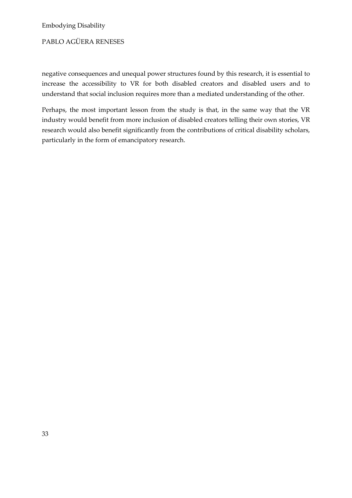### PABLO AGÜERA RENESES

negative consequences and unequal power structures found by this research, it is essential to increase the accessibility to VR for both disabled creators and disabled users and to understand that social inclusion requires more than a mediated understanding of the other.

Perhaps, the most important lesson from the study is that, in the same way that the VR industry would benefit from more inclusion of disabled creators telling their own stories, VR research would also benefit significantly from the contributions of critical disability scholars, particularly in the form of emancipatory research.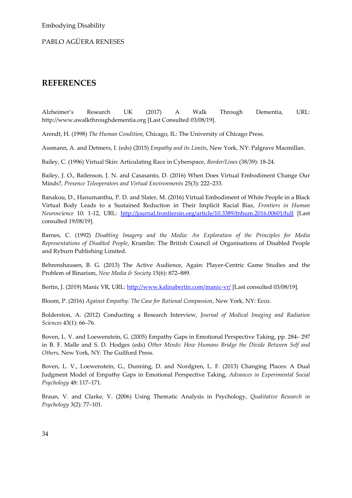### **REFERENCES**

Alzheimer's Research UK (2017) A Walk Through Dementia, URL: http://www.awalkthroughdementia.org [Last Consulted 03/08/19].

Arendt, H. (1998) *The Human Condition*, Chicago, IL: The University of Chicago Press.

Assmann, A. and Detmers, I. (eds) (2015) *Empathy and its Limits*, New York, NY: Palgrave Macmillan.

Bailey, C. (1996) Virtual Skin: Articulating Race in Cyberspace, *Border/Lines* (38/39): 18-24.

Bailey, J. O., Bailenson, J. N. and Casasanto, D. (2016) When Does Virtual Embodiment Change Our Minds?, *Presence Teleoperators and Virtual Environments* 25(3): 222–233.

Banakou, D., Hanumanthu, P. D. and Slater, M. (2016) Virtual Embodiment of White People in a Black Virtual Body Leads to a Sustained Reduction in Their Implicit Racial Bias, *Frontiers in Human Neuroscience* 10: 1-12, URL: <http://journal.frontiersin.org/article/10.3389/fnhum.2016.00601/full> [Last consulted 19/08/19].

Barnes, C. (1992) *Disabling Imagery and the Media: An Exploration of the Principles for Media Representations of Disabled People*, Krumlin: The British Council of Organisations of Disabled People and Ryburn Publishing Limited.

Behrenshausen, B. G. (2013) The Active Audience, Again: Player-Centric Game Studies and the Problem of Binarism, *New Media & Society* 15(6): 872–889.

Bertin, J. (2019) Manic VR, URL:<http://www.kalinabertin.com/manic-vr/> [Last consulted 03/08/19].

Bloom, P. (2016) *Against Empathy: The Case for Rational Compassion*, New York, NY: Ecco.

Bolderston, A. (2012) Conducting a Research Interview, *Journal of Medical Imaging and Radiation Sciences* 43(1): 66–76.

Boven, L. V. and Loewenstein, G. (2005) Empathy Gaps in Emotional Perspective Taking, pp. 284– 297 in B. F. Malle and S. D. Hodges (eds) *Other Minds: How Humans Bridge the Divide Between Self and Others*, New York, NY: The Guilford Press.

Boven, L. V., Loewenstein, G., Dunning, D. and Nordgren, L. F. (2013) Changing Places: A Dual Judgment Model of Empathy Gaps in Emotional Perspective Taking, *Advances in Experimental Social Psychology* 48: 117–171.

Braun, V. and Clarke, V. (2006) Using Thematic Analysis in Psychology, *Qualitative Research in Psychology* 3(2): 77–101.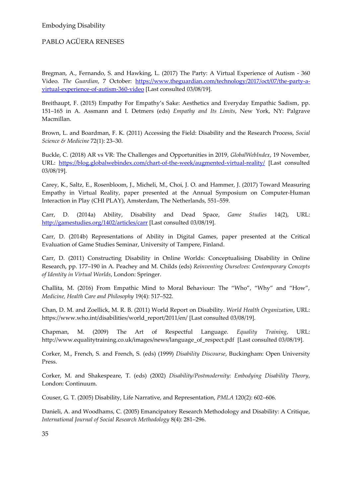Bregman, A., Fernando, S. and Hawking, L. (2017) The Party: A Virtual Experience of Autism - 360 Video. *The Guardian*, 7 October: [https://www.theguardian.com/technology/2017/oct/07/the-party-a](https://www.theguardian.com/technology/2017/oct/07/the-party-a-virtual-experience-of-autism-360-video)[virtual-experience-of-autism-360-video](https://www.theguardian.com/technology/2017/oct/07/the-party-a-virtual-experience-of-autism-360-video) [Last consulted 03/08/19].

Breithaupt, F. (2015) Empathy For Empathy's Sake: Aesthetics and Everyday Empathic Sadism, pp. 151–165 in A. Assmann and I. Detmers (eds) *Empathy and Its Limits*, New York, NY: Palgrave Macmillan.

Brown, L. and Boardman, F. K. (2011) Accessing the Field: Disability and the Research Process, *Social Science & Medicine* 72(1): 23–30.

Buckle, C. (2018) AR vs VR: The Challenges and Opportunities in 2019, *GlobalWebIndex*, 19 November, URL: <https://blog.globalwebindex.com/chart-of-the-week/augmented-virtual-reality/> [Last consulted 03/08/19].

Carey, K., Saltz, E., Rosenbloom, J., Micheli, M., Choi, J. O. and Hammer, J. (2017) Toward Measuring Empathy in Virtual Reality, paper presented at the Annual Symposium on Computer-Human Interaction in Play (CHI PLAY), Amsterdam, The Netherlands, 551–559.

Carr, D. (2014a) Ability, Disability and Dead Space, *Game Studies* 14(2), URL: <http://gamestudies.org/1402/articles/carr> [Last consulted 03/08/19].

Carr, D. (2014b) Representations of Ability in Digital Games, paper presented at the Critical Evaluation of Game Studies Seminar, University of Tampere, Finland.

Carr, D. (2011) Constructing Disability in Online Worlds: Conceptualising Disability in Online Research, pp. 177–190 in A. Peachey and M. Childs (eds) *Reinventing Ourselves: Contemporary Concepts of Identity in Virtual Worlds*, London: Springer.

Challita, M. (2016) From Empathic Mind to Moral Behaviour: The "Who", "Why" and "How", *Medicine, Health Care and Philosophy* 19(4): 517–522.

Chan, D. M. and Zoellick, M. R. B. (2011) World Report on Disability. *World Health Organization*, URL: https://www.who.int/disabilities/world\_report/2011/en/ [Last consulted 03/08/19].

Chapman, M. (2009) The Art of Respectful Language. *Equality Training*, URL: http://www.equalitytraining.co.uk/images/news/language\_of\_respect.pdf [Last consulted 03/08/19].

Corker, M., French, S. and French, S. (eds) (1999) *Disability Discourse*, Buckingham: Open University Press.

Corker, M. and Shakespeare, T. (eds) (2002) *Disability/Postmodernity: Embodying Disability Theory*, London: Continuum.

Couser, G. T. (2005) Disability, Life Narrative, and Representation, *PMLA* 120(2): 602–606.

Danieli, A. and Woodhams, C. (2005) Emancipatory Research Methodology and Disability: A Critique, *International Journal of Social Research Methodology* 8(4): 281–296.

35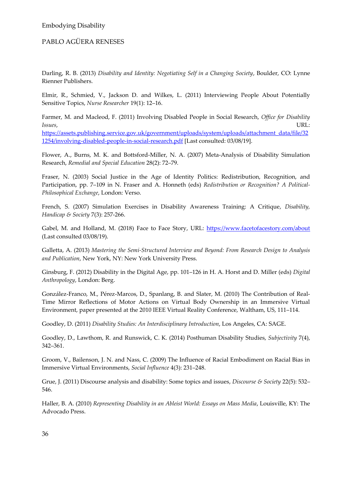Darling, R. B. (2013) *Disability and Identity: Negotiating Self in a Changing Society*, Boulder, CO: Lynne Rienner Publishers.

Elmir, R., Schmied, V., Jackson D. and Wilkes, L. (2011) Interviewing People About Potentially Sensitive Topics, *Nurse Researcher* 19(1): 12–16.

Farmer, M. and Macleod, F. (2011) Involving Disabled People in Social Research, *Office for Disability Issues,* URL:

[https://assets.publishing.service.gov.uk/government/uploads/system/uploads/attachment\\_data/file/32](https://assets.publishing.service.gov.uk/government/uploads/system/uploads/attachment_data/file/321254/involving-disabled-people-in-social-research.pdf) [1254/involving-disabled-people-in-social-research.pdf](https://assets.publishing.service.gov.uk/government/uploads/system/uploads/attachment_data/file/321254/involving-disabled-people-in-social-research.pdf) [Last consulted: 03/08/19].

Flower, A., Burns, M. K. and Bottsford-Miller, N. A. (2007) Meta-Analysis of Disability Simulation Research, *Remedial and Special Education* 28(2): 72–79.

Fraser, N. (2003) Social Justice in the Age of Identity Politics: Redistribution, Recognition, and Participation, pp. 7–109 in N. Fraser and A. Honneth (eds) *Redistribution or Recognition? A Political-Philosophical Exchange*, London: Verso.

French, S. (2007) Simulation Exercises in Disability Awareness Training: A Critique, *Disability, Handicap & Society* 7(3): 257-266.

Gabel, M. and Holland, M. (2018) Face to Face Story, URL:<https://www.facetofacestory.com/about> (Last consulted 03/08/19).

Galletta, A. (2013) *Mastering the Semi-Structured Interview and Beyond: From Research Design to Analysis and Publication*, New York, NY: New York University Press.

Ginsburg, F. (2012) Disability in the Digital Age, pp. 101–126 in H. A. Horst and D. Miller (eds) *Digital Anthropology*, London: Berg.

González-Franco, M., Pérez-Marcos, D., Spanlang, B. and Slater, M. (2010) The Contribution of Real-Time Mirror Reflections of Motor Actions on Virtual Body Ownership in an Immersive Virtual Environment, paper presented at the 2010 IEEE Virtual Reality Conference, Waltham, US, 111–114.

Goodley, D. (2011) *Disability Studies: An Interdisciplinary Introduction*, Los Angeles, CA: SAGE.

Goodley, D., Lawthom, R. and Runswick, C. K. (2014) Posthuman Disability Studies, *Subjectivity* 7(4), 342–361.

Groom, V., Bailenson, J. N. and Nass, C. (2009) The Influence of Racial Embodiment on Racial Bias in Immersive Virtual Environments, *Social Influence* 4(3): 231–248.

Grue, J. (2011) Discourse analysis and disability: Some topics and issues, *Discourse & Society* 22(5): 532– 546.

Haller, B. A. (2010) *Representing Disability in an Ableist World: Essays on Mass Media*, Louisville, KY: The Advocado Press.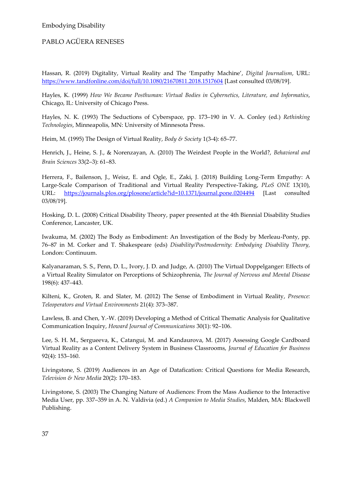Hassan, R. (2019) Digitality, Virtual Reality and The 'Empathy Machine', *Digital Journalism*, URL: <https://www.tandfonline.com/doi/full/10.1080/21670811.2018.1517604> [Last consulted 03/08/19].

Hayles, K. (1999) *How We Became Posthuman: Virtual Bodies in Cybernetics, Literature, and Informatics*, Chicago, IL: University of Chicago Press.

Hayles, N. K. (1993) The Seductions of Cyberspace, pp. 173–190 in V. A. Conley (ed.) *Rethinking Technologies*, Minneapolis, MN: University of Minnesota Press.

Heim, M. (1995) The Design of Virtual Reality, *Body & Society* 1(3-4): 65–77.

Henrich, J., Heine, S. J., & Norenzayan, A. (2010) The Weirdest People in the World?, *Behavioral and Brain Sciences* 33(2–3): 61–83.

Herrera, F., Bailenson, J., Weisz, E. and Ogle, E., Zaki, J. (2018) Building Long-Term Empathy: A Large-Scale Comparison of Traditional and Virtual Reality Perspective-Taking, *PLoS ONE* 13(10), URL: <https://journals.plos.org/plosone/article?id=10.1371/journal.pone.0204494></u> [Last consulted 03/08/19].

Hosking, D. L. (2008) Critical Disability Theory, paper presented at the 4th Biennial Disability Studies Conference, Lancaster, UK.

Iwakuma, M. (2002) The Body as Embodiment: An Investigation of the Body by Merleau-Ponty, pp. 76–87 in M. Corker and T. Shakespeare (eds) *Disability/Postmodernity: Embodying Disability Theory,*  London: Continuum.

Kalyanaraman, S. S., Penn, D. L., Ivory, J. D. and Judge, A. (2010) The Virtual Doppelganger: Effects of a Virtual Reality Simulator on Perceptions of Schizophrenia, *The Journal of Nervous and Mental Disease* 198(6): 437–443.

Kilteni, K., Groten, R. and Slater, M. (2012) The Sense of Embodiment in Virtual Reality, *Presence: Teleoperators and Virtual Environments* 21(4): 373–387.

Lawless, B. and Chen, Y.-W. (2019) Developing a Method of Critical Thematic Analysis for Qualitative Communication Inquiry, *Howard Journal of Communications* 30(1): 92–106.

Lee, S. H. M., Sergueeva, K., Catangui, M. and Kandaurova, M. (2017) Assessing Google Cardboard Virtual Reality as a Content Delivery System in Business Classrooms, *Journal of Education for Business* 92(4): 153–160.

Livingstone, S. (2019) Audiences in an Age of Datafication: Critical Questions for Media Research, *Television & New Media* 20(2): 170–183.

Livingstone, S. (2003) The Changing Nature of Audiences: From the Mass Audience to the Interactive Media User, pp. 337–359 in A. N. Valdivia (ed.) *A Companion to Media Studies*, Malden, MA: Blackwell Publishing.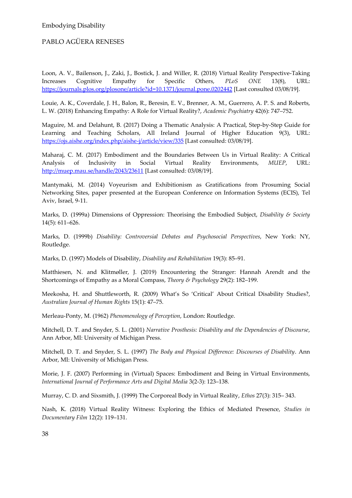Loon, A. V., Bailenson, J., Zaki, J., Bostick, J. and Willer, R. (2018) Virtual Reality Perspective-Taking Increases Cognitive Empathy for Specific Others, *PLoS ONE* 13(8), URL: <https://journals.plos.org/plosone/article?id=10.1371/journal.pone.0202442> [Last consulted 03/08/19].

Louie, A. K., Coverdale, J. H., Balon, R., Beresin, E. V., Brenner, A. M., Guerrero, A. P. S. and Roberts, L. W. (2018) Enhancing Empathy: A Role for Virtual Reality?, *Academic Psychiatry* 42(6): 747–752.

Maguire, M. and Delahunt, B. (2017) Doing a Thematic Analysis: A Practical, Step-by-Step Guide for Learning and Teaching Scholars, All Ireland Journal of Higher Education 9(3), URL: <https://ojs.aishe.org/index.php/aishe-j/article/view/335> [Last consulted: 03/08/19].

Maharaj, C. M. (2017) Embodiment and the Boundaries Between Us in Virtual Reality: A Critical Analysis of Inclusivity in Social Virtual Reality Environments, *MUEP*, URL: <http://muep.mau.se/handle/2043/23611> [Last consulted: 03/08/19].

Mantymaki, M. (2014) Voyeurism and Exhibitionism as Gratifications from Prosuming Social Networking Sites, paper presented at the European Conference on Information Systems (ECIS), Tel Aviv, Israel, 9-11.

Marks, D. (1999a) Dimensions of Oppression: Theorising the Embodied Subject, *Disability & Society* 14(5): 611–626.

Marks, D. (1999b) *Disability: Controversial Debates and Psychosocial Perspectives*, New York: NY, Routledge.

Marks, D. (1997) Models of Disability, *Disability and Rehabilitation* 19(3): 85–91.

Matthiesen, N. and Klitmøller, J. (2019) Encountering the Stranger: Hannah Arendt and the Shortcomings of Empathy as a Moral Compass, *Theory & Psychology* 29(2): 182–199.

Meekosha, H. and Shuttleworth, R. (2009) What's So 'Critical' About Critical Disability Studies?, *Australian Journal of Human Rights* 15(1): 47–75.

Merleau-Ponty, M. (1962) *Phenomenology of Perception*, London: Routledge.

Mitchell, D. T. and Snyder, S. L. (2001) *Narrative Prosthesis: Disability and the Dependencies of Discourse*, Ann Arbor, MI: University of Michigan Press.

Mitchell, D. T. and Snyder, S. L. (1997) *The Body and Physical Difference: Discourses of Disability*. Ann Arbor, MI: University of Michigan Press.

Morie, J. F. (2007) Performing in (Virtual) Spaces: Embodiment and Being in Virtual Environments, *International Journal of Performance Arts and Digital Media* 3(2-3): 123–138.

Murray, C. D. and Sixsmith, J. (1999) The Corporeal Body in Virtual Reality, *Ethos* 27(3): 315– 343.

Nash, K. (2018) Virtual Reality Witness: Exploring the Ethics of Mediated Presence, *Studies in Documentary Film* 12(2): 119–131.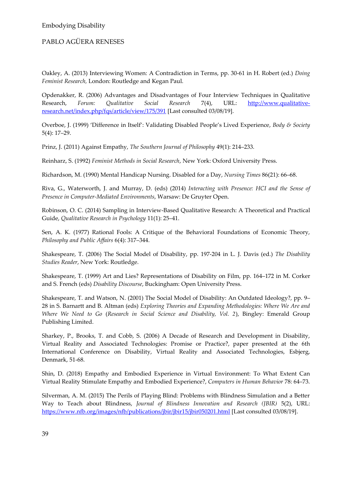Oakley, A. (2013) Interviewing Women: A Contradiction in Terms, pp. 30-61 in H. Robert (ed.) *Doing Feminist Research,* London: Routledge and Kegan Paul.

Opdenakker, R. (2006) Advantages and Disadvantages of Four Interview Techniques in Qualitative Research, *Forum: Qualitative Social Research* 7(4), URL: [http://www.qualitative](http://www.qualitative-research.net/index.php/fqs/article/view/175/391)[research.net/index.php/fqs/article/view/175/391](http://www.qualitative-research.net/index.php/fqs/article/view/175/391) [Last consulted 03/08/19].

Overboe, J. (1999) 'Difference in Itself': Validating Disabled People's Lived Experience, *Body & Society* 5(4): 17–29.

Prinz, J. (2011) Against Empathy, *The Southern Journal of Philosophy* 49(1): 214–233.

Reinharz, S. (1992) *Feminist Methods in Social Research*, New York: Oxford University Press.

Richardson, M. (1990) Mental Handicap Nursing. Disabled for a Day, *Nursing Times* 86(21): 66–68.

Riva, G., Waterworth, J. and Murray, D. (eds) (2014) *Interacting with Presence: HCI and the Sense of Presence in Computer-Mediated Environments*, Warsaw: De Gruyter Open.

Robinson, O. C. (2014) Sampling in Interview-Based Qualitative Research: A Theoretical and Practical Guide, *Qualitative Research in Psychology* 11(1): 25–41.

Sen, A. K. (1977) Rational Fools: A Critique of the Behavioral Foundations of Economic Theory, *Philosophy and Public Affairs* 6(4): 317–344.

Shakespeare, T. (2006) The Social Model of Disability, pp. 197-204 in L. J. Davis (ed.) *The Disability Studies Reader*, New York: Routledge.

Shakespeare, T. (1999) Art and Lies? Representations of Disability on Film, pp. 164–172 in M. Corker and S. French (eds) *Disability Discourse*, Buckingham: Open University Press.

Shakespeare, T. and Watson, N. (2001) The Social Model of Disability: An Outdated Ideology?, pp. 9– 28 in S. Barnartt and B. Altman (eds) *Exploring Theories and Expanding Methodologies: Where We Are and Where We Need to Go* (*Research in Social Science and Disability, Vol. 2*), Bingley: Emerald Group Publishing Limited.

Sharkey, P., Brooks, T. and Cobb, S. (2006) A Decade of Research and Development in Disability, Virtual Reality and Associated Technologies: Promise or Practice?, paper presented at the 6th International Conference on Disability, Virtual Reality and Associated Technologies, Esbjerg, Denmark, 51-68.

Shin, D. (2018) Empathy and Embodied Experience in Virtual Environment: To What Extent Can Virtual Reality Stimulate Empathy and Embodied Experience?, *Computers in Human Behavior* 78: 64–73.

Silverman, A. M. (2015) The Perils of Playing Blind: Problems with Blindness Simulation and a Better Way to Teach about Blindness, *Journal of Blindness Innovation and Research (JBIR)* 5(2), URL: <https://www.nfb.org/images/nfb/publications/jbir/jbir15/jbir050201.html> [Last consulted 03/08/19].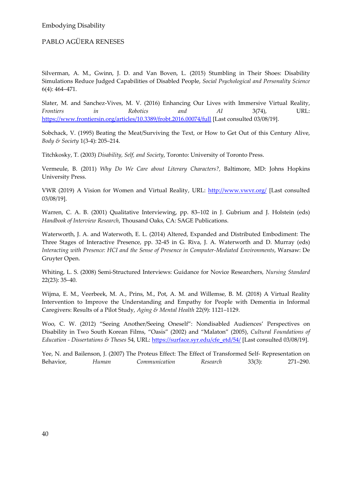Silverman, A. M., Gwinn, J. D. and Van Boven, L. (2015) Stumbling in Their Shoes: Disability Simulations Reduce Judged Capabilities of Disabled People, *Social Psychological and Personality Science* 6(4): 464–471.

Slater, M. and Sanchez-Vives, M. V. (2016) Enhancing Our Lives with Immersive Virtual Reality, *Frontiers in Robotics and AI* 3(74), URL: <https://www.frontiersin.org/articles/10.3389/frobt.2016.00074/full> [Last consulted 03/08/19].

Sobchack, V. (1995) Beating the Meat/Surviving the Text, or How to Get Out of this Century Alive, *Body & Society* 1(3-4): 205–214.

Titchkosky, T. (2003) *Disability, Self, and Society*, Toronto: University of Toronto Press.

Vermeule, B. (2011) *Why Do We Care about Literary Characters?,* Baltimore, MD: Johns Hopkins University Press.

VWR (2019) A Vision for Women and Virtual Reality, URL:<http://www.vwvr.org/> [Last consulted 03/08/19].

Warren, C. A. B. (2001) Qualitative Interviewing, pp. 83–102 in J. Gubrium and J. Holstein (eds) *Handbook of Interview Research*, Thousand Oaks, CA: SAGE Publications.

Waterworth, J. A. and Waterwoth, E. L. (2014) Altered, Expanded and Distributed Embodiment: The Three Stages of Interactive Presence, pp. 32-45 in G. Riva, J. A. Waterworth and D. Murray (eds) *Interacting with Presence: HCI and the Sense of Presence in Computer-Mediated Environments*, Warsaw: De Gruyter Open.

Whiting, L. S. (2008) Semi-Structured Interviews: Guidance for Novice Researchers, *Nursing Standard* 22(23): 35–40.

Wijma, E. M., Veerbeek, M. A., Prins, M., Pot, A. M. and Willemse, B. M. (2018) A Virtual Reality Intervention to Improve the Understanding and Empathy for People with Dementia in Informal Caregivers: Results of a Pilot Study, *Aging & Mental Health* 22(9): 1121–1129.

Woo, C. W. (2012) "Seeing Another/Seeing Oneself": Nondisabled Audiences' Perspectives on Disability in Two South Korean Films, "Oasis" (2002) and "Malaton" (2005), *Cultural Foundations of Education - Dissertations & Theses* 54, URL: [https://surface.syr.edu/cfe\\_etd/54/](https://surface.syr.edu/cfe_etd/54/) [Last consulted 03/08/19].

Yee, N. and Bailenson, J. (2007) The Proteus Effect: The Effect of Transformed Self- Representation on Behavior, *Human Communication Research* 33(3): 271–290.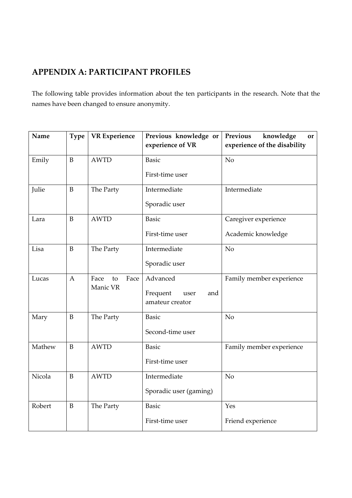# **APPENDIX A: PARTICIPANT PROFILES**

The following table provides information about the ten participants in the research. Note that the names have been changed to ensure anonymity.

| Name   | <b>Type</b>  | <b>VR</b> Experience | Previous knowledge or<br>experience of VR  | knowledge<br>Previous<br>or<br>experience of the disability |
|--------|--------------|----------------------|--------------------------------------------|-------------------------------------------------------------|
| Emily  | B            | <b>AWTD</b>          | <b>Basic</b>                               | N <sub>o</sub>                                              |
|        |              |                      | First-time user                            |                                                             |
| Julie  | B            | The Party            | Intermediate                               | Intermediate                                                |
|        |              |                      | Sporadic user                              |                                                             |
| Lara   | B            | <b>AWTD</b>          | <b>Basic</b>                               | Caregiver experience                                        |
|        |              |                      | First-time user                            | Academic knowledge                                          |
| Lisa   | B            | The Party            | Intermediate                               | N <sub>o</sub>                                              |
|        |              |                      | Sporadic user                              |                                                             |
| Lucas  | $\mathbf{A}$ | Face<br>Face<br>to   | Advanced                                   | Family member experience                                    |
|        |              | Manic VR             | Frequent<br>and<br>user<br>amateur creator |                                                             |
| Mary   | B            | The Party            | <b>Basic</b>                               | N <sub>o</sub>                                              |
|        |              |                      | Second-time user                           |                                                             |
| Mathew | B            | <b>AWTD</b>          | <b>Basic</b>                               | Family member experience                                    |
|        |              |                      | First-time user                            |                                                             |
| Nicola | B            | <b>AWTD</b>          | Intermediate                               | No                                                          |
|        |              |                      | Sporadic user (gaming)                     |                                                             |
| Robert | B            | The Party            | <b>Basic</b>                               | Yes                                                         |
|        |              |                      | First-time user                            | Friend experience                                           |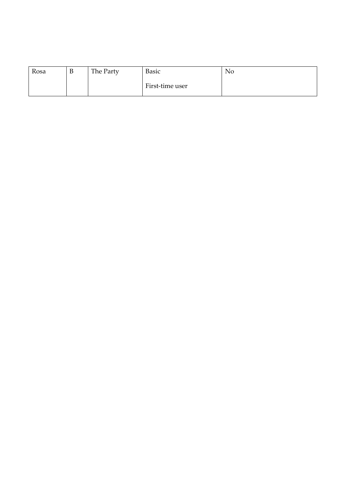| Rosa | R<br>υ | The Party | <b>Basic</b>    | No |
|------|--------|-----------|-----------------|----|
|      |        |           | First-time user |    |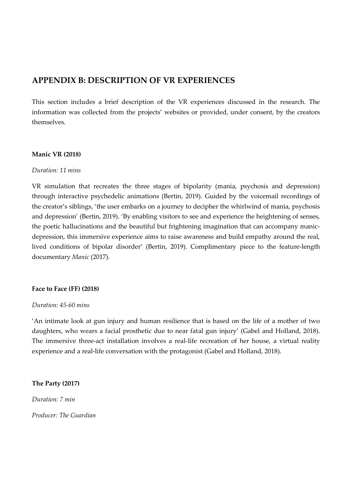### **APPENDIX B: DESCRIPTION OF VR EXPERIENCES**

This section includes a brief description of the VR experiences discussed in the research. The information was collected from the projects' websites or provided, under consent, by the creators themselves.

#### **Manic VR (2018)**

#### *Duration: 11 mins*

VR simulation that recreates the three stages of bipolarity (mania, psychosis and depression) through interactive psychedelic animations (Bertin, 2019). Guided by the voicemail recordings of the creator's siblings, 'the user embarks on a journey to decipher the whirlwind of mania, psychosis and depression' (Bertin, 2019). 'By enabling visitors to see and experience the heightening of senses, the poetic hallucinations and the beautiful but frightening imagination that can accompany manicdepression, this immersive experience aims to raise awareness and build empathy around the real, lived conditions of bipolar disorder' (Bertin, 2019). Complimentary piece to the feature-length documentary *Manic* (2017).

#### **Face to Face (FF) (2018)**

#### *Duration: 45-60 mins*

'An intimate look at gun injury and human resilience that is based on the life of a mother of two daughters, who wears a facial prosthetic due to near fatal gun injury' (Gabel and Holland, 2018). The immersive three-act installation involves a real-life recreation of her house, a virtual reality experience and a real-life conversation with the protagonist (Gabel and Holland, 2018).

#### **The Party (2017)**

*Duration: 7 min*

*Producer: The Guardian*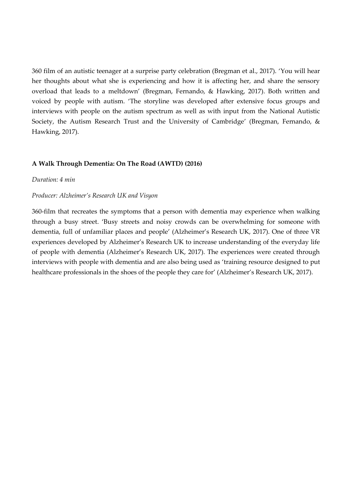360 film of an autistic teenager at a surprise party celebration (Bregman et al., 2017). 'You will hear her thoughts about what she is experiencing and how it is affecting her, and share the sensory overload that leads to a meltdown' (Bregman, Fernando, & Hawking, 2017). Both written and voiced by people with autism. 'The storyline was developed after extensive focus groups and interviews with people on the autism spectrum as well as with input from the National Autistic Society, the Autism Research Trust and the University of Cambridge' (Bregman, Fernando, & Hawking, 2017).

#### **A Walk Through Dementia: On The Road (AWTD) (2016)**

#### *Duration: 4 min*

#### *Producer: Alzheimer's Research UK and Visyon*

360-film that recreates the symptoms that a person with dementia may experience when walking through a busy street. 'Busy streets and noisy crowds can be overwhelming for someone with dementia, full of unfamiliar places and people' (Alzheimer's Research UK, 2017). One of three VR experiences developed by Alzheimer's Research UK to increase understanding of the everyday life of people with dementia (Alzheimer's Research UK, 2017). The experiences were created through interviews with people with dementia and are also being used as 'training resource designed to put healthcare professionals in the shoes of the people they care for' (Alzheimer's Research UK, 2017).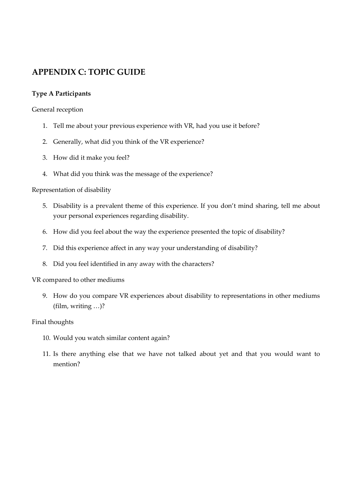### **APPENDIX C: TOPIC GUIDE**

### **Type A Participants**

General reception

- 1. Tell me about your previous experience with VR, had you use it before?
- 2. Generally, what did you think of the VR experience?
- 3. How did it make you feel?
- 4. What did you think was the message of the experience?

#### Representation of disability

- 5. Disability is a prevalent theme of this experience. If you don't mind sharing, tell me about your personal experiences regarding disability.
- 6. How did you feel about the way the experience presented the topic of disability?
- 7. Did this experience affect in any way your understanding of disability?
- 8. Did you feel identified in any away with the characters?

#### VR compared to other mediums

9. How do you compare VR experiences about disability to representations in other mediums (film, writing …)?

#### Final thoughts

- 10. Would you watch similar content again?
- 11. Is there anything else that we have not talked about yet and that you would want to mention?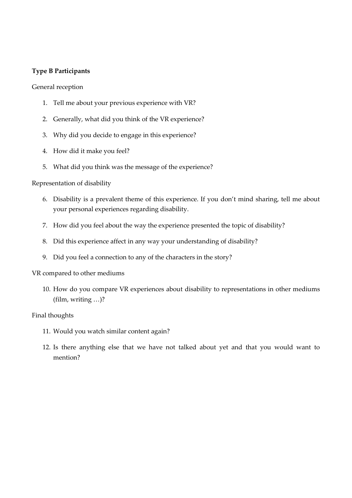### **Type B Participants**

General reception

- 1. Tell me about your previous experience with VR?
- 2. Generally, what did you think of the VR experience?
- 3. Why did you decide to engage in this experience?
- 4. How did it make you feel?
- 5. What did you think was the message of the experience?

#### Representation of disability

- 6. Disability is a prevalent theme of this experience. If you don't mind sharing, tell me about your personal experiences regarding disability.
- 7. How did you feel about the way the experience presented the topic of disability?
- 8. Did this experience affect in any way your understanding of disability?
- 9. Did you feel a connection to any of the characters in the story?

#### VR compared to other mediums

10. How do you compare VR experiences about disability to representations in other mediums (film, writing …)?

#### Final thoughts

- 11. Would you watch similar content again?
- 12. Is there anything else that we have not talked about yet and that you would want to mention?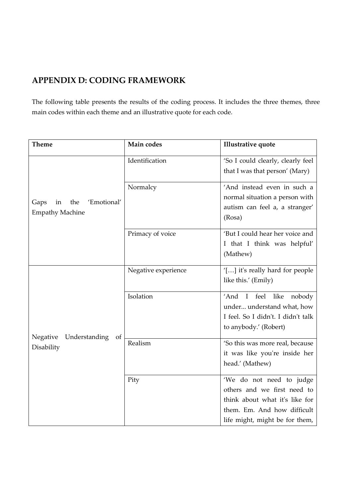# **APPENDIX D: CODING FRAMEWORK**

The following table presents the results of the coding process. It includes the three themes, three main codes within each theme and an illustrative quote for each code.

| <b>Theme</b>                                         | Main codes          | <b>Illustrative quote</b>                      |
|------------------------------------------------------|---------------------|------------------------------------------------|
|                                                      | Identification      | 'So I could clearly, clearly feel              |
|                                                      |                     | that I was that person' (Mary)                 |
|                                                      | Normalcy            | 'And instead even in such a                    |
| the<br>'Emotional'<br>Gaps<br>in                     |                     | normal situation a person with                 |
| <b>Empathy Machine</b>                               |                     | autism can feel a, a stranger'                 |
|                                                      |                     | (Rosa)                                         |
|                                                      | Primacy of voice    | 'But I could hear her voice and                |
|                                                      |                     | I that I think was helpful'                    |
|                                                      |                     | (Mathew)                                       |
|                                                      | Negative experience | '[] it's really hard for people                |
|                                                      |                     | like this.' (Emily)                            |
|                                                      | Isolation           | 'And<br>$\mathbf{I}$<br>feel<br>like<br>nobody |
|                                                      |                     | under understand what, how                     |
|                                                      |                     | I feel. So I didn't. I didn't talk             |
|                                                      |                     | to anybody.' (Robert)                          |
| Negative<br><b>Understanding</b><br>of<br>Disability | Realism             | 'So this was more real, because                |
|                                                      |                     | it was like you're inside her                  |
|                                                      |                     | head.' (Mathew)                                |
|                                                      | Pity                | 'We do not need to judge                       |
|                                                      |                     | others and we first need to                    |
|                                                      |                     | think about what it's like for                 |
|                                                      |                     | them. Em. And how difficult                    |
|                                                      |                     | life might, might be for them,                 |